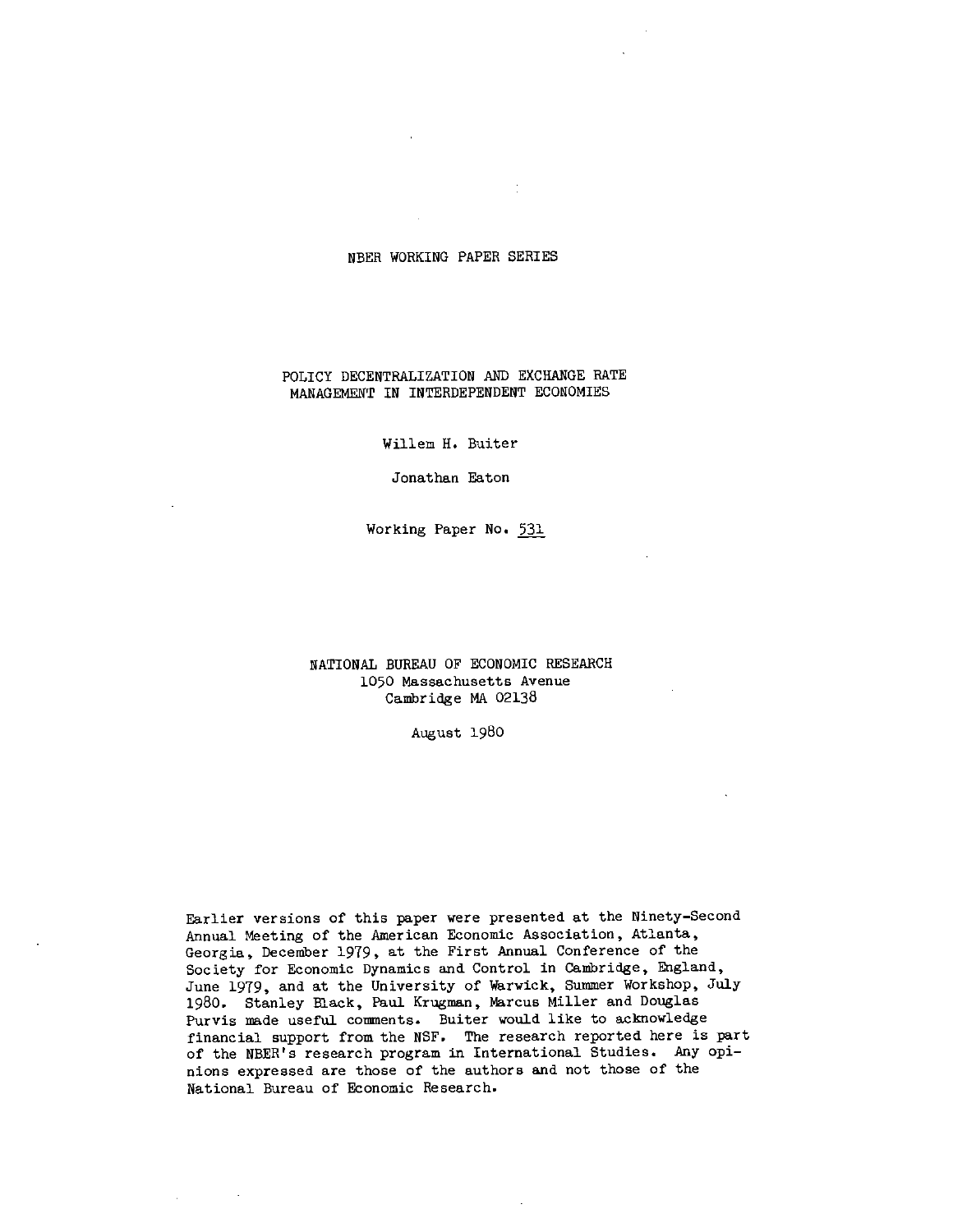# NBER WORKING PAPER SERIES

 $\frac{1}{\sqrt{2}}$ 

# POLICY DECENTRALIZATION AND EXCHANGE RATE MANAGEMENT IN INTERDEPENDENT ECONOMIES

Willem H. Buiter

Jonathan Eaton

Working Paper No. 531

# NATIONAL BUREAU OF ECONOMIC RESEARCH 1050 Massachusetts Avenue Cambridge MA 02138

August 1980

Earlier versions of this paper were presented at the Ninety-Second Annual Meeting of the American Economic Association, Atlanta, Georgia, December 1979, at the First Annual Conference of the<br>Society for Economic Dynamics and Control in Cambridge, England, June 1979, and at the University of Warwick, Summer Workshop, July 1980. Stanley Black, Paul Krugman, Marcus Miller and Douglas Purvis made useful comments. Buiter would like to acknowledge financial support from the NSF. The research reported here is part of the NBER's research program in International Studies. Any opinions expressed are those of the authors and not those of the National Bureau of Economic Research.

 $\sim$   $\sim$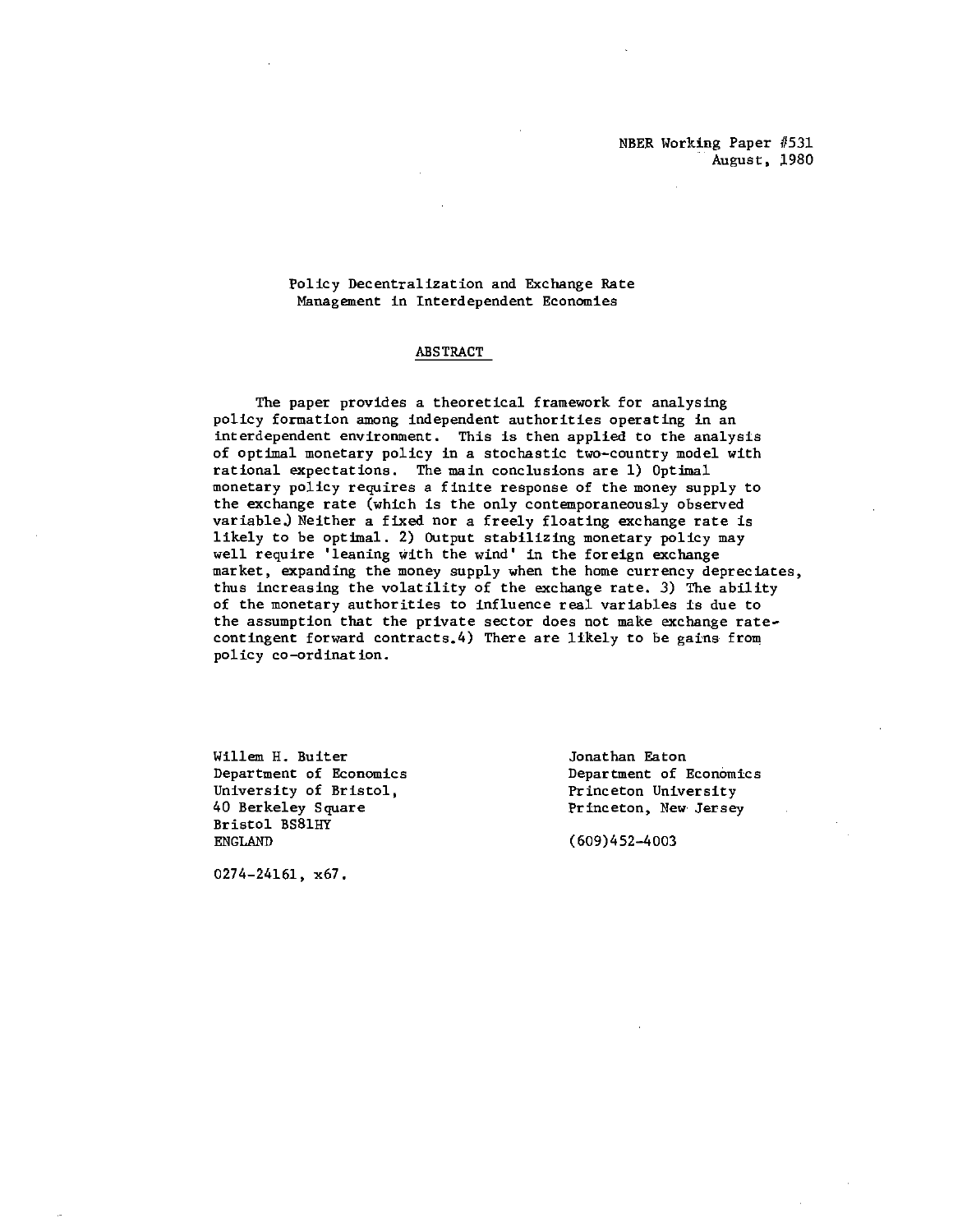Policy Decentralization and Exchange Rate Management in Interdependent Economies

### ABSTRACT

The paper provides a theoretical framework for analysing policy formation among independent authorities operating in an interdependent environment. This is then applied to the analysis of optimal monetary policy in a stochastic two—country model with rational expectations. The main conclusions are 1) Optimal monetary policy requires a finite response of the money supply to the exchange rate (which is the only contemporaneously observed variable.) Neither a fixed nor a freely floating exchange rate is likely to be optimal. 2) Output stabilizing monetary policy may well require 'leaning with the wind' in the foreign exchange market, expanding the money supply when the home currency depreciates, thus increasing the volatility of the exchange rate. 3) The ability of the monetary authorities to influence real variables is due to the assumption that the private sector does not make exchange rate contingent forward contracts.4) There are likely to be gains from policy co—ordination.

Willem H. Buiter **Gallem H. Buiter** Jonathan Eaton University of Bristol, The Princeton University<br>40 Berkeley Square Princeton, New Jersey Bristol BS81HY<br>ENGLAND

Department of Economics<br>
University of Bristol, The Princeton University Princeton, New Jersey

 $(609)452 - 4003$ 

0274—24161, x67.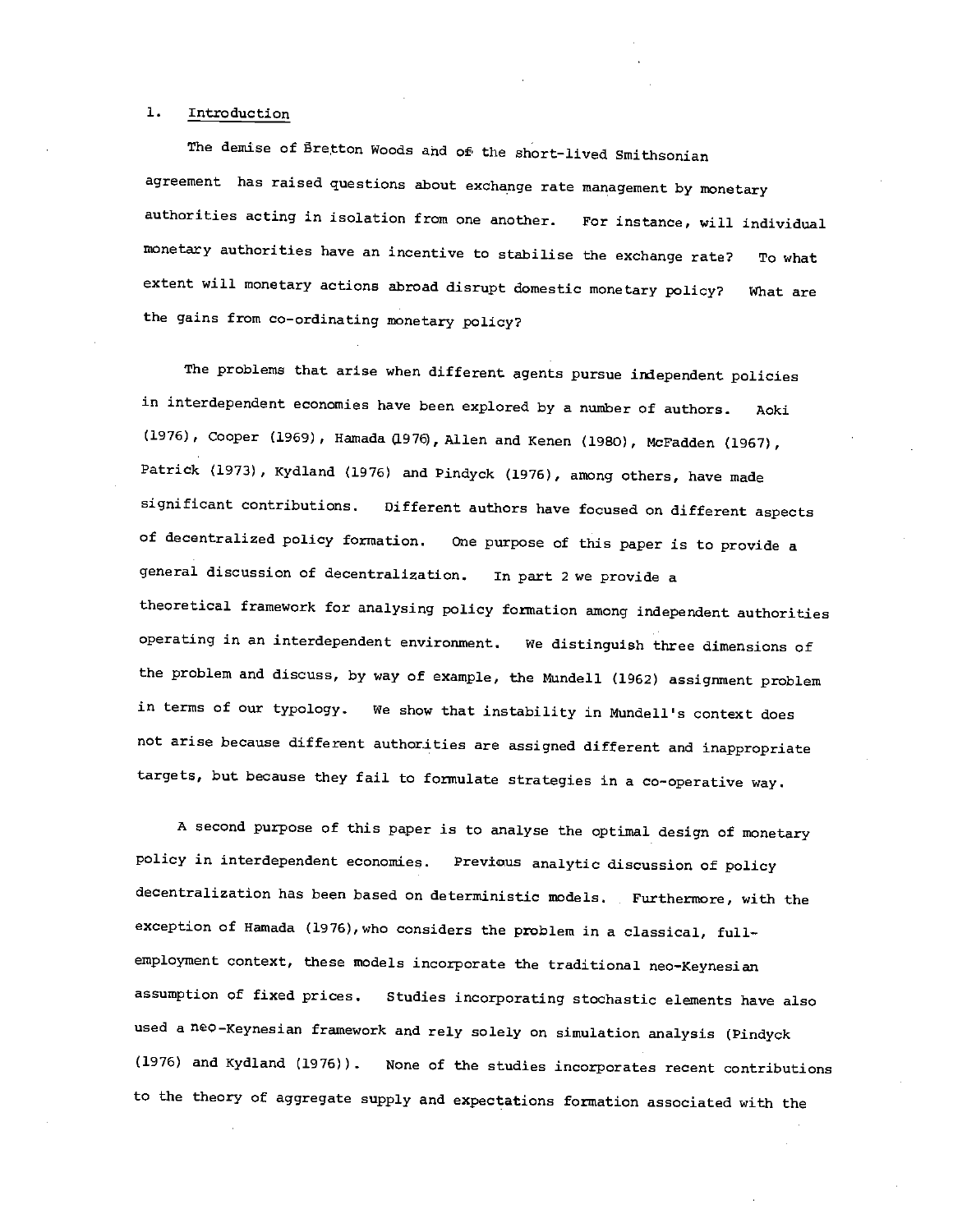# 1. Introduction

The demise of Eretton Woods ahd of the short-lived Smithsonian agreement has raised questions about exchange rate management by monetary authorities acting in isolation from one another. For instance, will individual monetary authorities have an incentive to stabilise the exchange rate? To what extent will monetary actions abroad disrupt domestic monetary policy? What are the gains from co—ordinating monetary policy?

The problems that arise when different agents pursue independent policies in interdependent economies have been explored by a number of authors. Aoki (1976), Cooper (1969), Hamada (1976), Allen and icenen (1980), McFadden (1967), Patrick (1973) , Kydland (1976) and Pindyck (1976), among others, have made significant contributions. Different authors have focused on different aspects of decentralized policy formation. One purpose of this paper is to provide a general discussion of decentralization. In part 2 we provide a theoretical framework for analysing policy formation among independent authorities operating in an interdependent environment. We distinguish three dimensions of the problem and discuss, by way of example, the Mundell (1962) assignment problem in terms of our typology. We show that instability in Mundell's context does not arise because different authorities are assigned different and inappropriate targets, but because they fail to formulate strategies in a co-operative way.

A second purpose of this paper is to analyse the optimal design of monetary policy in interdependent economies. Previous analytic discussion of policy decentralization has been based on deterministic models. Furthermore, with the exception of Hamada (1976), who considers the problem in a classical, fullemployment context, these models incorporate the traditional neo-Keynesian assumption of fixed prices. Studies incorporating stochastic elements have also used a ne $\circ$ -Keynesian framework and rely solely on simulation analysis (Pindyck (1976) and Kydland (1976)). None of the studies incorporates recent contributions to the theory of aggregate supply and expectations formation associated with the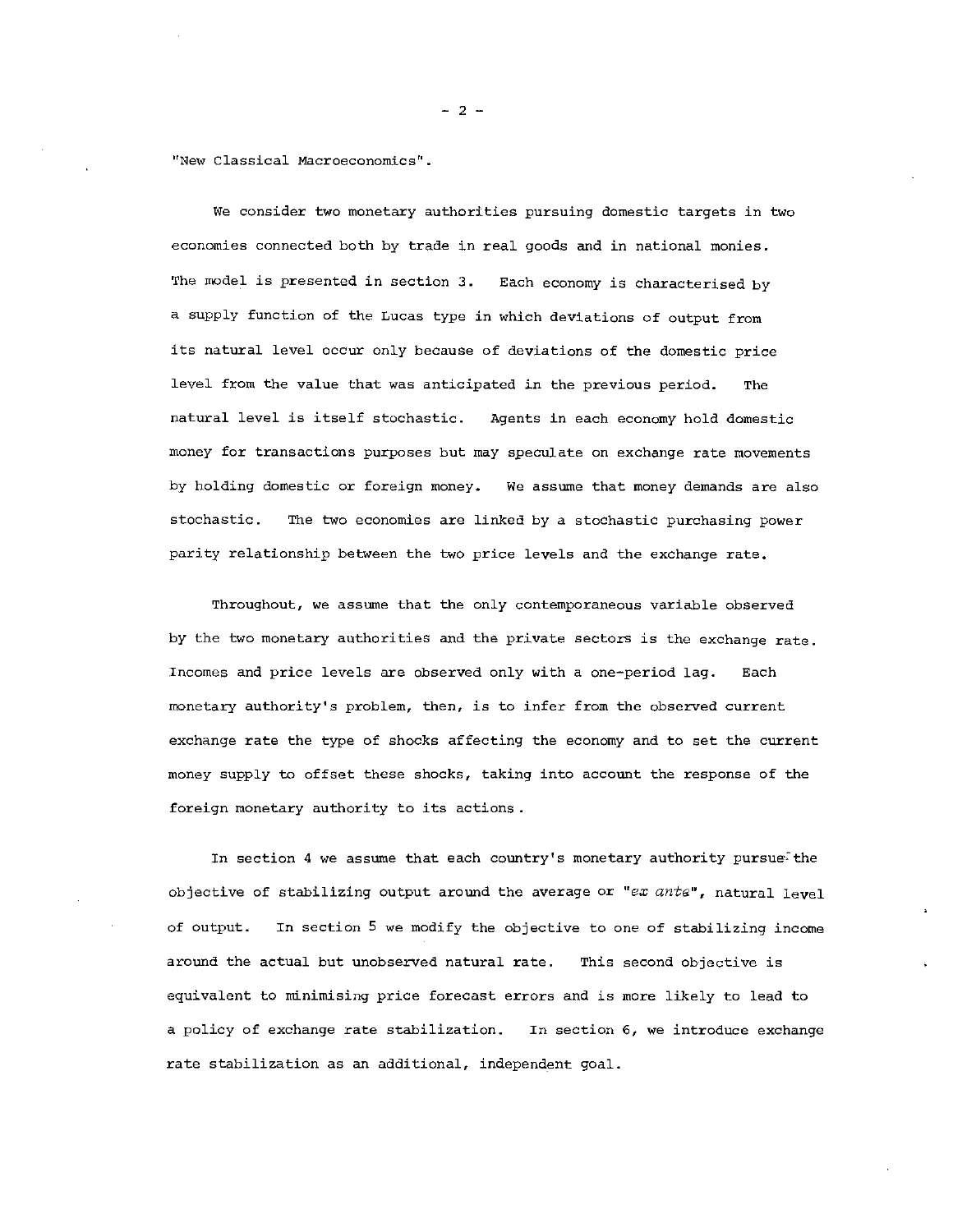"New Classical Macroeconomics".

We consider two monetary authorities pursuing domestic targets in two economies connected both by trade in real goods and in national monies. The model is presented in section 3. Each economy is characterised by a supply function of the Lucas type in which deviations of output from its natural level occur only because of deviations of the domestic price level from the value that was anticipated in the previous period. The natural level is itself stochastic. Agents in each economy hold domestic money for transactions purposes but may speculate on exchange rate movements by holding domestic or foreign money. We assume that money demands are also stochastic. The two economies are linked by a stochastic purchasing power parity relationship between the two price levels and the exchange rate.

Throughout, we assume that the only contemporaneous variable observed by the two monetary authorities and the private sectors is the exchange rate. Incomes and price levels are observed only with a one—period lag. Each monetary authority's problem, then, is to infer from the observed current exchange rate the type of shocks affecting the economy and to set the current money supply to offset these shocks, taking into account the response of the foreign monetary authority to its actions.

In section 4 we assume that each country's monetary authority pursues the objective of stabilizing output around the average or "ex ante", natural level of output. In section 5 we modify the objective to one of stabilizing income around the actual but unobserved natural rate. This second objective is equivalent to minimising price forecast errors and is more likely to lead to a policy of exchange rate stabilization. In section 6, we introduce exchange rate stabilization as an additional, independent goal.

—2—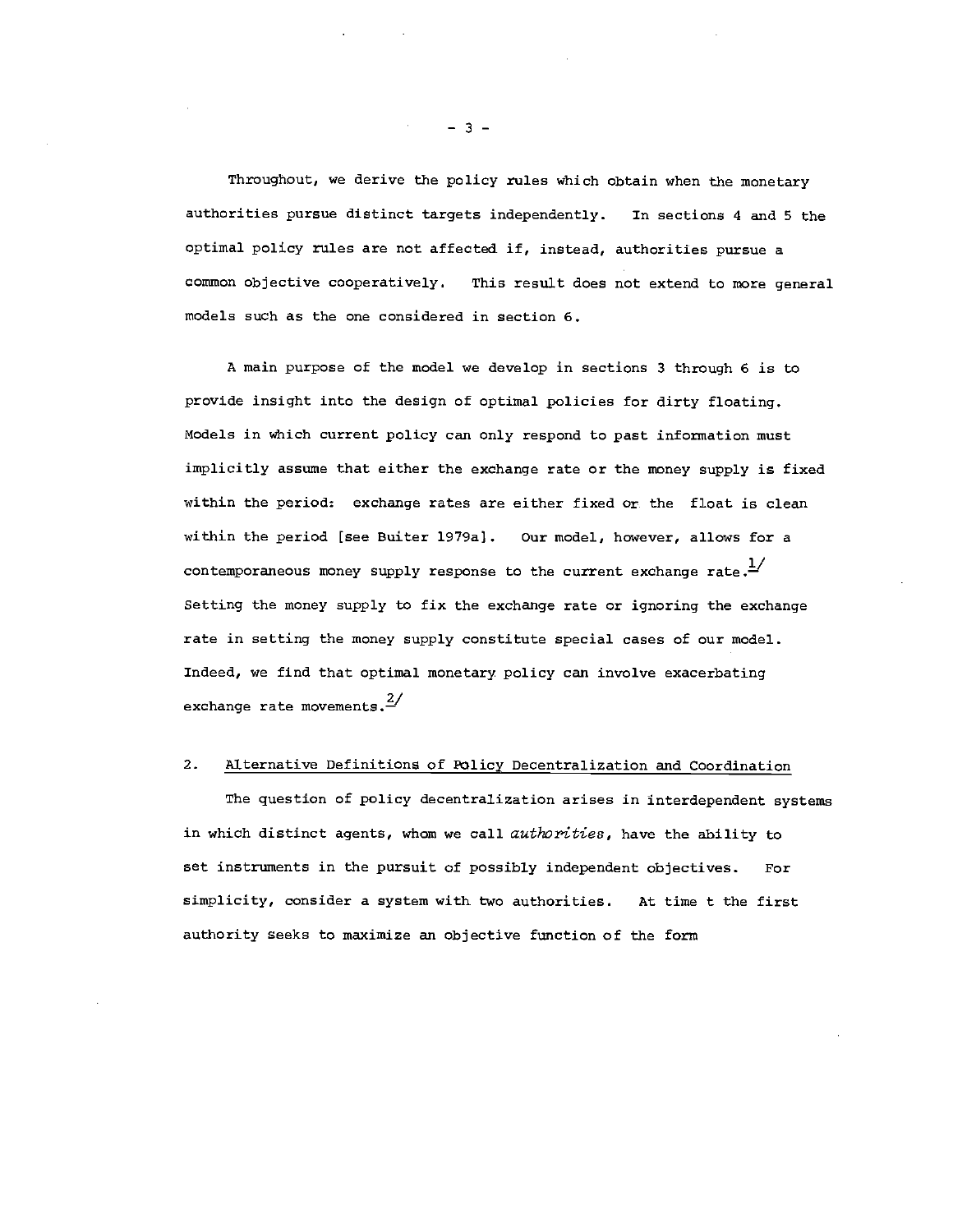Throughout, we derive the policy rules which obtain when the monetary authorities pursue distinct targets independently. In sections 4 and S the optimal policy rules are not affected if, instead, authorities pursue a common objective cooperatively. This result does not extend to more general models such as the one considered in section 6.

A main purpose of the model we develop in sections 3 through 6 is to provide insight into the design of optimal policies for dirty floating. Models in which current policy can only respond to past information must implicitly assume that either the exchange rate or the money supply is fixed within the period: exchange rates are either fixed ox the float is clean within the period [see Buiter 1979a]. Our model, however, allows for a contemporaneous money supply response to the current exchange rate. $\frac{1}{1}$ Setting the money supply to fix the exchange rate or ignoring the exchange rate in setting the money supply constitute special cases of our model. Indeed, we find that optimal monetary policy can involve exacerbating exchange rate movements. $\frac{2}{3}$ 

# 2. Alternative Definitions of Folicy Decentralization and Coordination

The question of policy decentralization arises in interdependent systems in which distinct agents, whom we call authorities, have the ability to set instruments in the pursuit of possibly independent objectives. For simplicity, consider a system with two authorities. At time t the first authority seeks to maximize an objective function of the form

—3—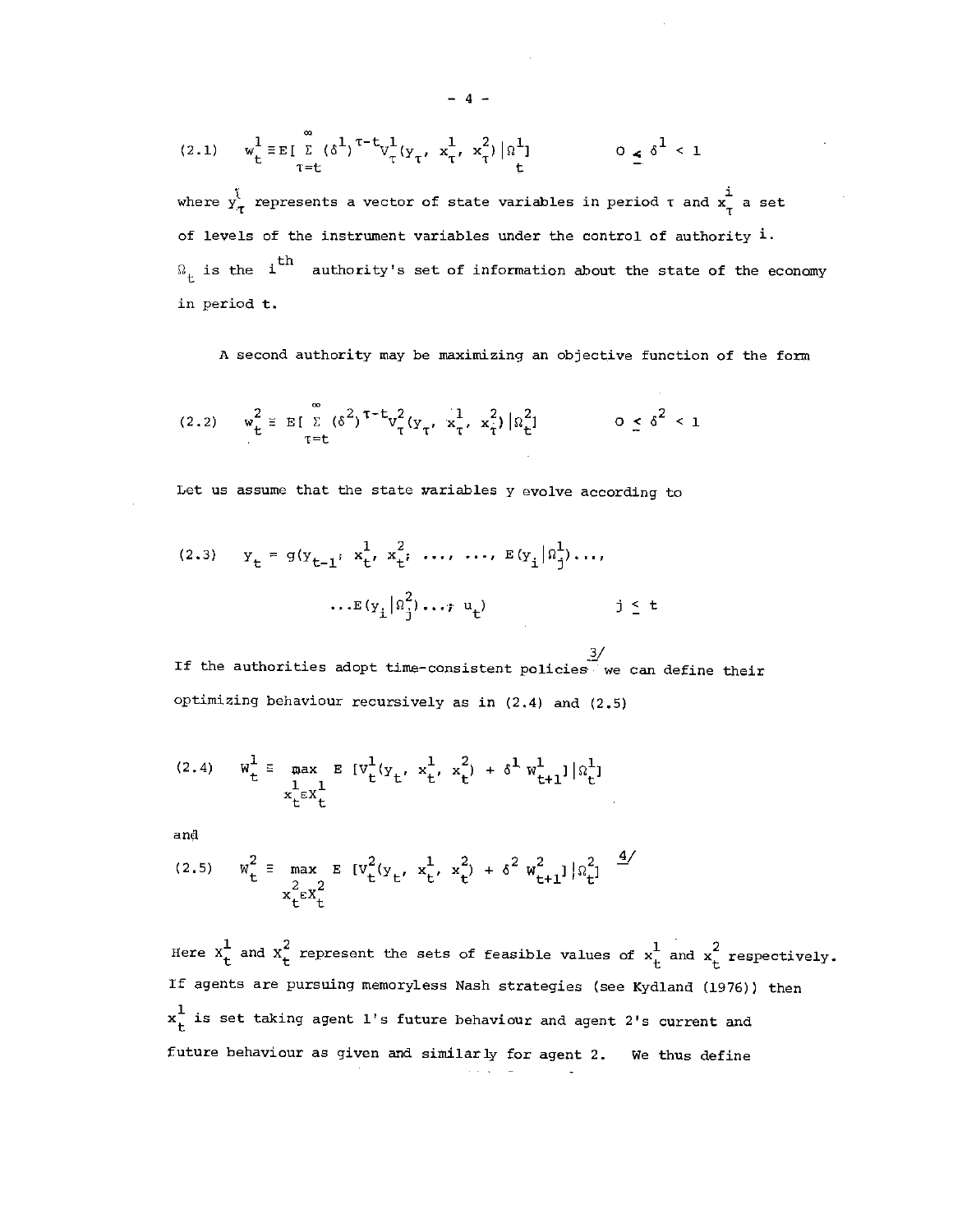(2.1) 
$$
w_t^1 = E \left[ \sum_{\tau=t}^{\infty} (\delta^1)^{\tau-t} v_{\tau}^1 (y_{\tau}, x_{\tau}^1, x_{\tau}^2) | \Omega_t^1 \right]
$$
  $0 \le \delta^1 < 1$ 

where  $y_{\tau}^{\dagger}$  represents a vector of state variables in period  $\tau$  and  $x_{\tau}^{\dagger}$  a set of levels of the instrument variables under the control of authority 1.  $\Omega_{+}$  is the  $i$ <sup>th</sup> authority's set of information about the state of the economy in period t.

A second authority may be maximizing an objective function of the form

$$
(2.2) \quad w_{t}^{2} \equiv E\left[\sum_{\tau=t}^{\infty} (\delta^{2})^{\tau-t} v_{\tau}^{2} (y_{\tau}, x_{\tau}^{1}, x_{\tau}^{2}) | \Omega_{t}^{2}\right] \qquad 0 \leq \delta^{2} < 1
$$

Let us assume that the state variables y evolve according to

(2.3) 
$$
y_t = g(y_{t-1}, x_t^1, x_t^2, ..., ..., E(y_i | \Omega_j^1), ...,
$$
  

$$
...E(y_i | \Omega_j^2) ... , u_t) \qquad j \leq t
$$

 $\frac{3}{2}$ If the authorities adopt time—consistent policies• we can define their optimizing behaviour recursively as in (2.4) and (2.5)

(2.4) 
$$
w_t^1 \equiv \max_{\substack{x_t^1 \in X_t^1 \\ x_t^2 \in \mathbb{R}^1}} E\left[v_t^1(y_t, x_t^1, x_t^2) + \delta^1 w_{t+1}^1\right]|x_t^1|
$$

and

(2.5) 
$$
w_t^2 = \max_{\substack{2 \ k \in X_t^2}} E [v_t^2(y_t, x_t^1, x_t^2) + \delta^2 w_{t+1}^2] |x_t^2|
$$

Here  $x_t^1$  and  $x_t^2$  represent the sets of feasible values of  $x_t^1$  and  $x_t^2$  respectively. If agents are pursuing memoryless Nash strategies (see Kydland (1976)) then  $x_t^1$  is set taking agent 1's future behaviour and agent 2's current and future behaviour as given and similarly for agent 2. We thus define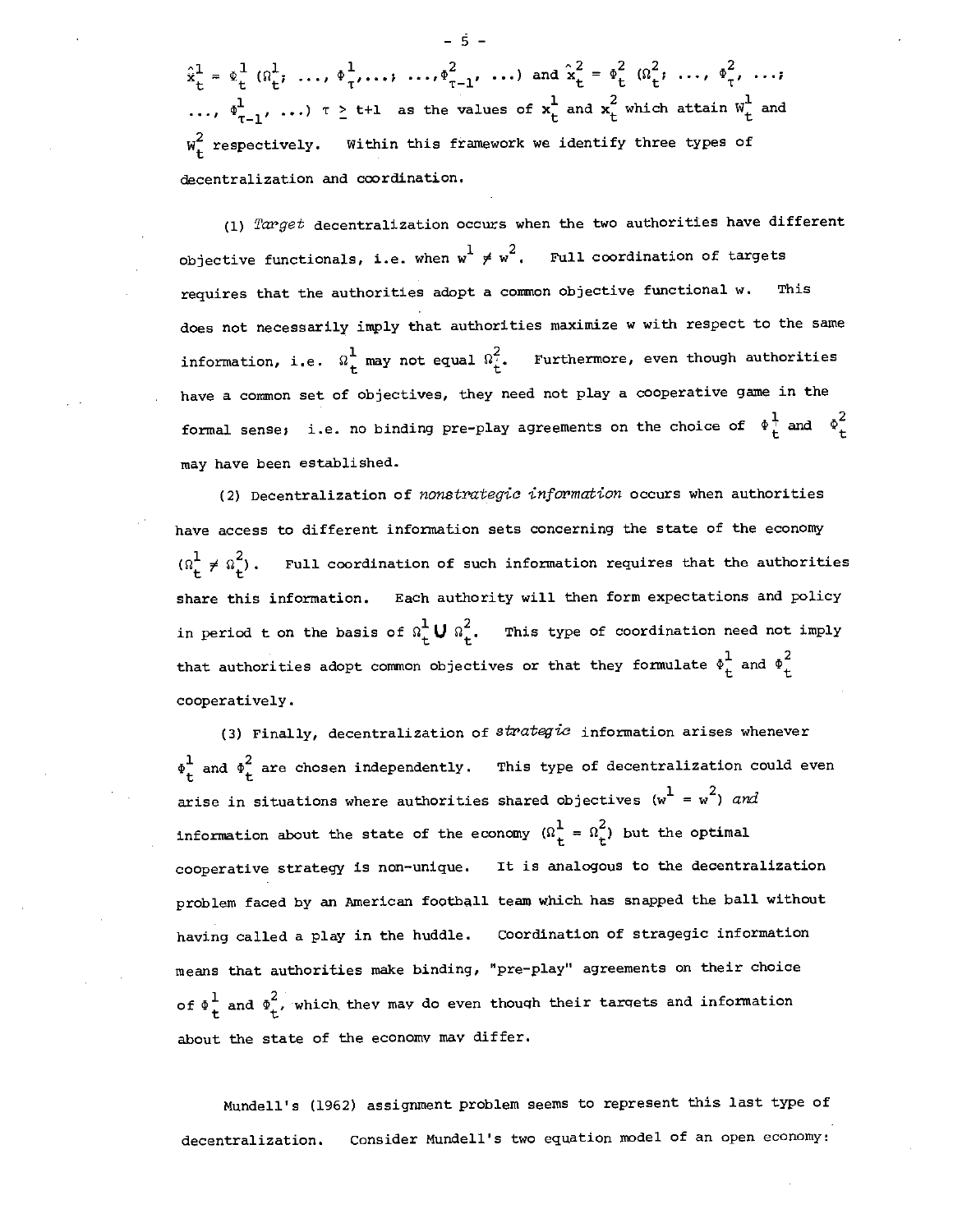$\hat{\mathbf{x}}_t^1 = \Phi_t^1 \left( \Omega_t^1, \ldots, \Phi_t^1, \ldots, \ldots, \Phi_{\tau-1}^2, \ldots \right)$  and  $\hat{\mathbf{x}}_t^2 = \Phi_t^2 \left( \Omega_t^2, \ldots, \Phi_t^2, \ldots \right)$ ...,  $\Phi^1_{\tau-1}$ , ...)  $\tau \geq t+1$  as the values of  $x_t^1$  and  $x_t^2$  which attain  $w_t^1$  and  $w_+^2$  respectively. Within this framework we identify three types of decentralization and coordination.

(1) Target decentralization occurs when the two authorities have different objective functionals, i.e. when  $w^1 \neq w^2$ . Full coordination of targets requires that the authorities adopt a common objective functional w. This does not necessarily imply that authorities maximize w with respect to the same information, i.e.  $\Omega^1_+$  may not equal  $\Omega^2_t$ . Furthermore, even though authorities have a common set of objectives, they need not play a cooperative game in the formal sense; i.e. no binding pre-play agreements on the choice of  $\phi_t^1$  and  $\phi_t^2$ may have been established.

(2) Decentralization of nonstrategic information occurs when authorities have access to different information sets concerning the state of the economy  $(\Omega_{+}^{1} \neq \Omega_{+}^{2})$ . Full coordination of such information requires that the authorities share this information. Each authority will then form expectations and policy in period t on the basis of  $\Omega_t^1 \cup \Omega_t^2$ . This type of coordination need not imply that authorities adopt common objectives or that they formulate  $\phi \frac{1}{t}$  and  $\phi \frac{2}{t}$ cooperatively.

(3) Finally, decentralization of  $structure$  information arises whenever  $\Phi_+^1$  and  $\Phi_+^2$  are chosen independently. This type of decentralization could even arise in situations where authorities shared objectives  $(w^1 = w^2)$  and information about the state of the economy  $(\Omega_t^1 = \Omega_t^2)$  but the optimal cooperative strategy is non—unique. It is analogous to the decentralization problem faced by an American football team which has snapped the ball without having called a play in the huddle. Coordination of stragegic information means that authorities make binding, "pre—play" agreements on their choice of  $\Phi_+^1$  and  $\Phi_+^2$ , which they may do even though their targets and information about the state of the economy may differ.

Mundell's (1962) assignment problem seems to represent this last type of decentralization. Consider Mundell's two equation model of an open economy:

—5—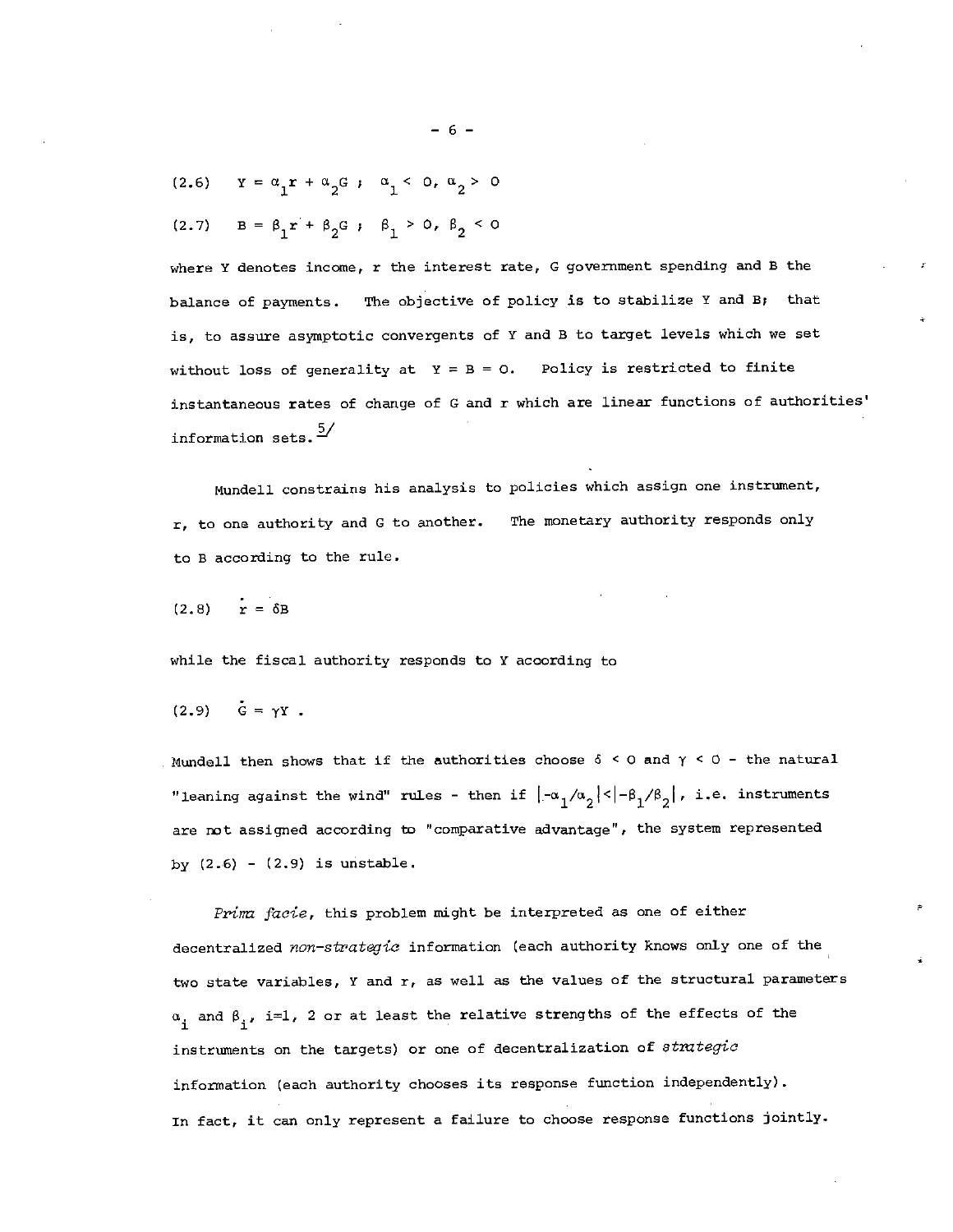(2.6) 
$$
Y = \alpha_1 r + \alpha_2 G ; \alpha_1 < 0, \alpha_2 > 0
$$

(2.7) 
$$
B = \beta_1 r + \beta_2 G
$$
;  $\beta_1 > 0$ ,  $\beta_2 < 0$ 

where Y denotes income,  $r$  the interest rate, G government spending and B the balance of payments. The objective of policy is to stabilize Y and B; that is, to assure asymptotic convergents of Y and B to target levels which we set without loss of generality at  $Y = B = 0$ . Policy is restricted to finite instantaneous rates of change of C and r which are linear functions of authorities' information sets.  $\frac{5}{5}$ 

Mundell constrains his analysis to policies which assign one instrument, r, to one authority and C to another. The monetary authority responds only to B according to the rule.

$$
(2.8) \qquad r = \delta B
$$

while the fiscal authority responds to Y according to

$$
(2.9) \quad G = \gamma Y \ .
$$

Mundell then shows that if the authorities choose  $\delta$  < 0 and  $\gamma$  < 0 - the natural "leaning against the wind" rules - then if  $\left|\frac{-\alpha_1}{\alpha_2}\right| < \left|\frac{-\beta_1}{\beta_2}\right|$ , i.e. instruments are not assigned according to "comparative advantage", the system represented by  $(2.6) - (2.9)$  is unstable.

Prima facie, this problem might be interpreted as one of either decentralized non-strategic information (each authority knows only one of the two state variables, Y and r, as well as the values of the structural parameters  $\alpha$  and  $\beta$ , i=1, 2 or at least the relative strengths of the effects of the instruments on the targets) or one of decentralization of strategic information (each authority chooses its response function independently). In fact, it can only represent a failure to choose response functions jointly.

—6—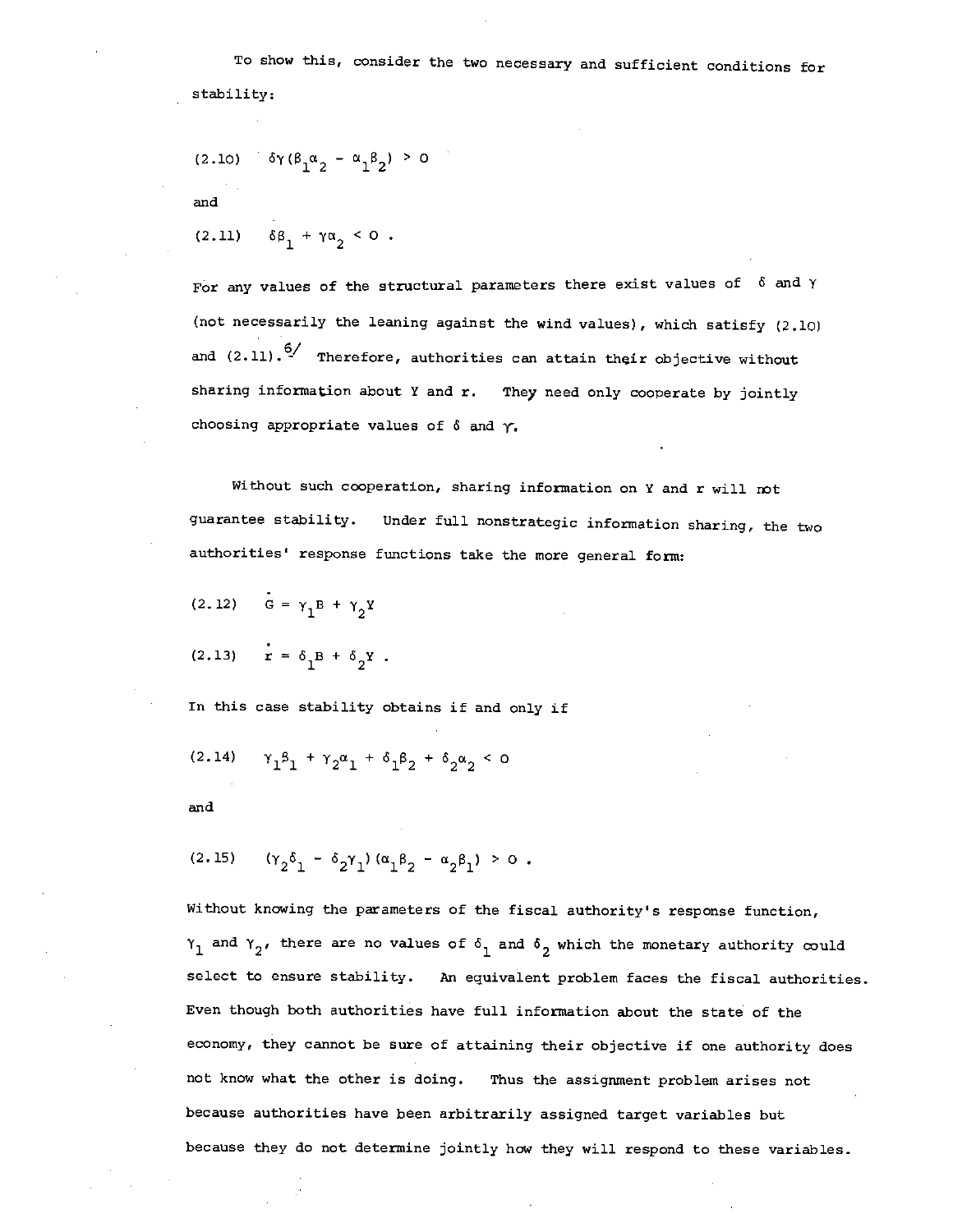To show this, consider the two necessary and sufficient conditions for stability:

(2.10) 
$$
\delta \gamma (\beta_1 \alpha_2 - \alpha_1 \beta_2) > 0
$$

and

$$
(2.11) \quad \delta\beta_1 + \gamma\alpha_2 < 0.
$$

For any values of the structural parameters there exist values of  $6$  and  $\gamma$ (not necessarily the leaning against the wind values), which satisfy (2.10) and  $(2.11)$ .<sup>6</sup>/ Therefore, authorities can attain their objective without sharing information about Y and r. They need only cooperate by jointly choosing appropriate values of  $\delta$  and  $\gamma$ .

Without such cooperation, sharing information on Y and r will not guarantee stability. Under full nonstrategic information sharing, the two authorities' response functions take the more general form:

(2.12)  $G = \gamma_1 B + \gamma_2 Y$ 

$$
(2.13) \quad \dot{\mathbf{r}} = \delta_1 B + \delta_2 Y \ .
$$

In this case stability obtains if and only if

$$
(2.14) \t\t\t\t\t\t\gamma_1^{\beta_1} + \gamma_2^{\alpha_1} + \delta_1^{\beta_2} + \delta_2^{\alpha_2} < 0
$$

and

(2.15) 
$$
(\gamma_2 \delta_1 - \delta_2 \gamma_1) (\alpha_1 \beta_2 - \alpha_2 \beta_1) > 0
$$
.

Without knowing the parameters of the fiscal authority's response function,  $\gamma_1$  and  $\gamma_2$ , there are no values of  $\delta_1$  and  $\delta_2$  which the monetary authority could select to ensure stability. An equivalent problem faces the fiscal authorities. Even though both authorities have full information about the state of the economy, they cannot be sure of attaining their objective if one authority does not know what the other is doing. Thus the assignment problem arises not because authorities have been arbitrarily assigned target variables but because they do not determine jointly how they will respond to these variables.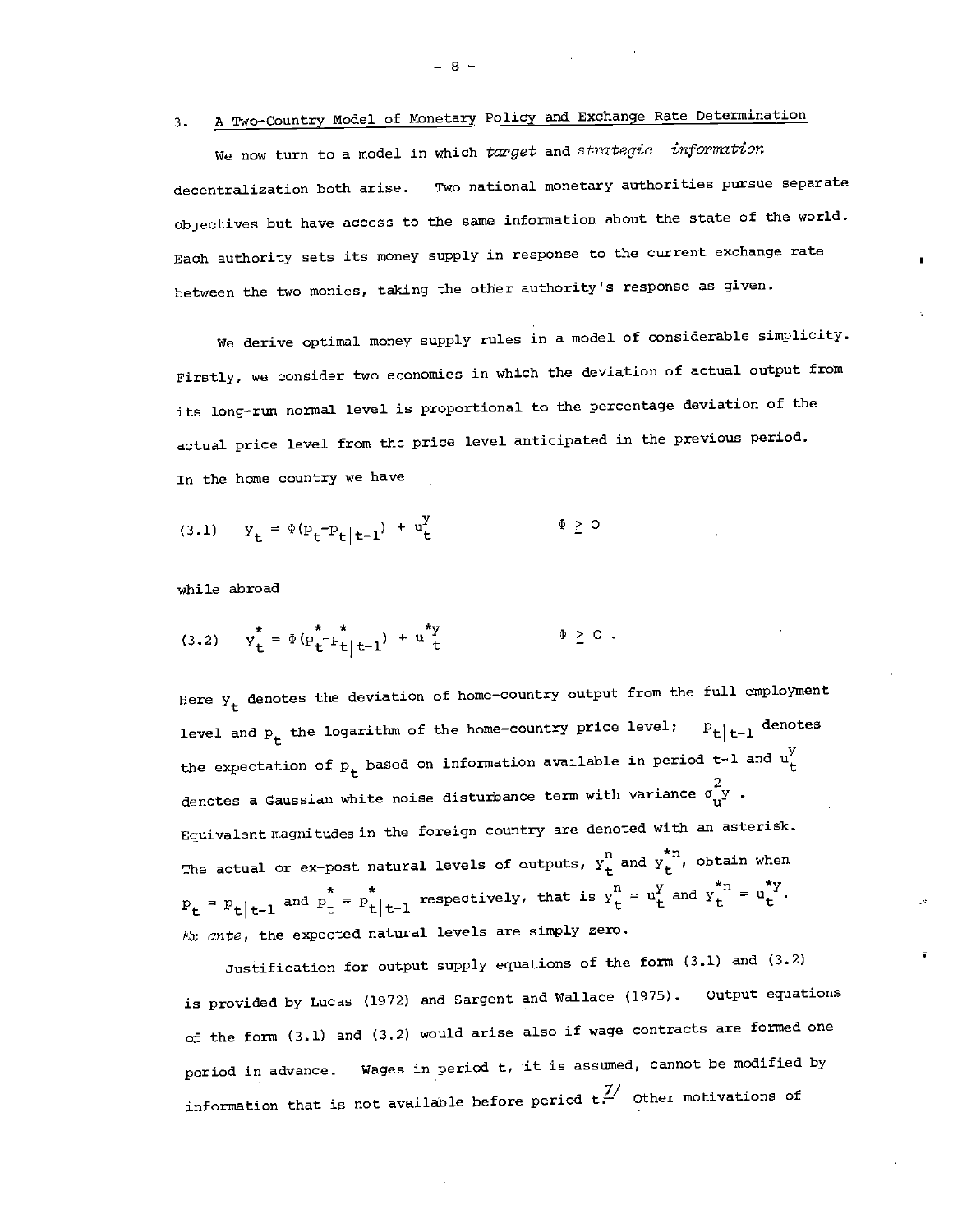# 3. A Two—Country Model of Monetary Policy and Exchange Rate Determination

We now turn to a model in which target and strategic information decentralization both arise. Two national monetary authorities pursue separate objectives but have access to the same information about the state of the world. Each authority sets its money supply in response to the current exchange rate between the two monies, taking the other authority's response as given.

We derive optimal money supply rules in a model of considerable simplicity. Firstly, we consider two economies in which the deviation of actual output from its long—run normal level is proportional to the percentage deviation of the actual price level from the price level anticipated in the previous period. In the home country we have

(3.1) 
$$
y_t = \Phi(p_t - p_t | t - 1) + u_t^y
$$
  $\Phi \ge 0$ 

while abroad

(3.2) 
$$
y_t^* = \Phi(p_t^* - p_t | t-1) + u^*y
$$
  $\Phi \ge 0$ .

Here  $y_t$  denotes the deviation of home-country output from the full employment level and  $P_t$  the logarithm of the home-country price level;  $P_t|_{t-1}$  denotes the expectation of  $p_t$  based on information available in period t-l and  $u_t^y$ denotes a Gaussian white noise disturbance term with variance  $\sigma_{\mathbf{u}}^{\mathbf{y}}$  . Equivalent magnitudes in the foreign country are denoted with an asterisk. The actual or ex-post natural levels of outputs,  $\mathtt{y}^\mathtt{n}_\mathtt{t}$  and  $\mathtt{y}^\mathtt{tn}_\mathtt{t}$ , obtain when  $P_t = P_t |_{t-1}$  and  $P_t^* = P_t^* |_{t-1}$  respectively, that is  $y_t^n = u_t^y$  and  $y_t^{*n} = u_t^{*y}$ . Ex ante, the expected natural levels are simply zero.

Justification for output supply equations of the form (3.1) and (3.2) is provided by Lucas (1972) and Sargent and Wallace (1975). output equations of the form (3.1) and (3.2) would arise also if wage contracts are formed one period in advance. Wages in period t, it is assumed, cannot be modified by information that is not available before period  $t<sup>7</sup>$  Other motivations of

—8—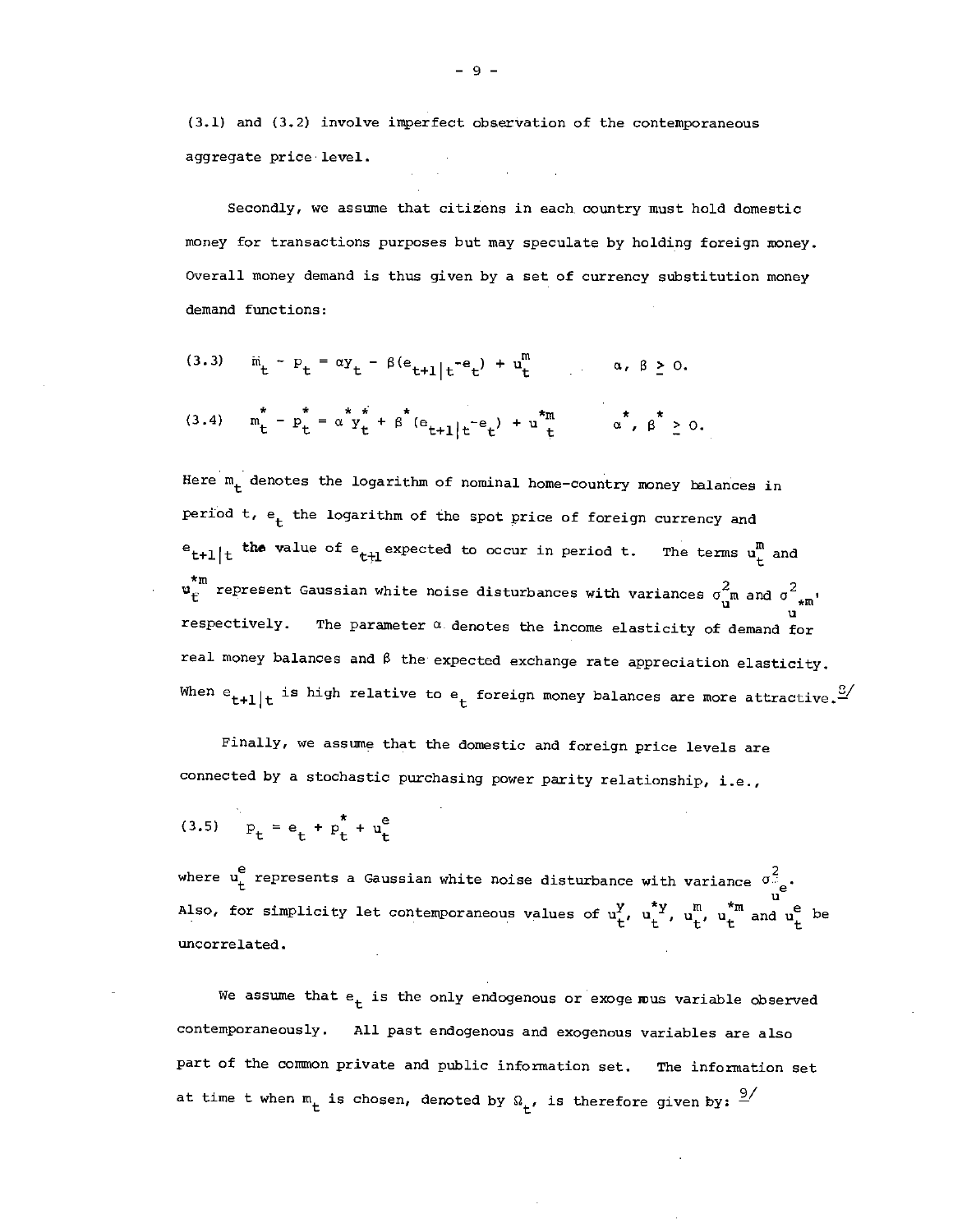(3.1) and (3.2) involve imperfect observation of the contemporaneous aggregate price' level.

Secondly, we assume that citizens in each country must hold domestic money for transactions purposes but may speculate by holding foreign money. Overall money demand is thus given by a set of currency substitution money demand functions:

(3.3) 
$$
\ddot{m}_t - p_t = \alpha y_t - \beta (e_{t+1}|t^{-e}t) + u_t^m
$$
  $\alpha, \beta \ge 0.$   
(3.4)  $\ddot{m}_t^* - p_t^* = \alpha^* y_t^* + \beta^* (e_{t+1}|t^{-e}t) + u_t^{*m}$   $\alpha^*, \beta^* \ge 0.$ 

Here  $m_t$  denotes the logarithm of nominal home-country money balances in period t,  $e_t$  the logarithm of the spot price of foreign currency and  $e_{t+1}|_t$  the value of  $e_{t+1}$  expected to occur in period t. The terms  $u_t^n$  and  $\mathbf{u}_{\rm E}^{\star \rm m}$  represent Gaussian white noise disturbances with variances  $\sigma_{\rm u}^2$  and  $\sigma_{\star \rm m}^2$ . respectively. The parameter  $\alpha$  denotes the income elasticity of demand for real money balances and  $\beta$  the expected exchange rate appreciation elasticity. When  $e_{t+1}|_t$  is high relative to  $e_t$  foreign money balances are more attractive.  $\overset{\circledcirc}{\sim}$ 

Finally, we assume that the domestic and foreign price levels are connected by a stochastic purchasing power parity relationship, i.e.,

(3.5) 
$$
p_t = e_t + p_t^* + u_t^e
$$

where  $u_t^e$  represents a Gaussian white noise disturbance with variance  $\sigma_{ee}^2$ . Also, for simplicity let contemporaneous values of  $u_t^y$ ,  $u_t^*$ ,  $u_t^m$ ,  $u_t^m$  and  $u_t^e$  be unccrrelated.

We assume that  $e_t$  is the only endogenous or exoge mus variable observed contemporaneously. All past endogenous and exogenous variables are also part of the common private and public information set. The information set at time t when  $m_t$  is chosen, denoted by  $\Omega_t$ , is therefore given by:  $\frac{9}{1}$ 

—9—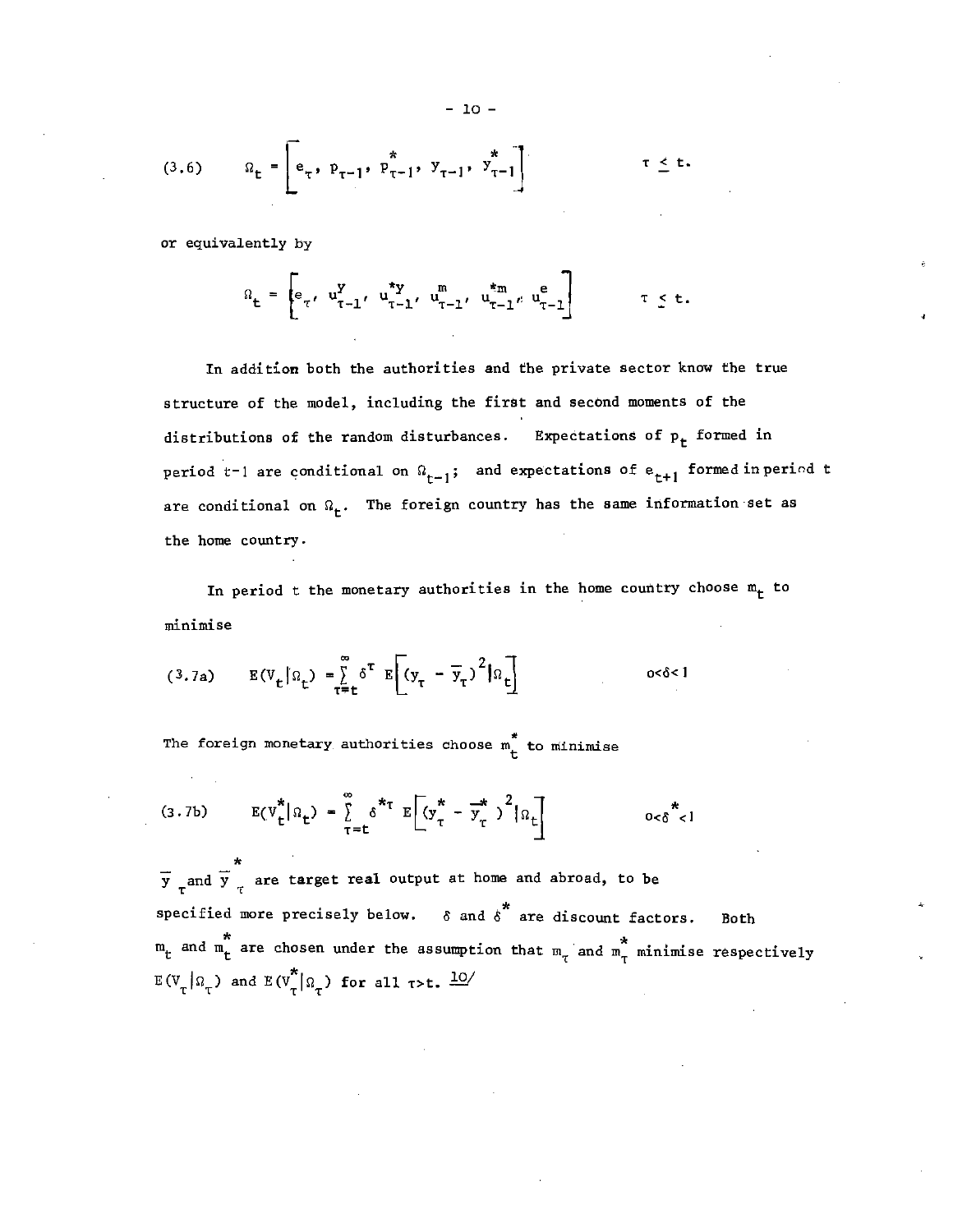(3.6) 
$$
\Omega_{t} = \begin{bmatrix} x \\ e_{\tau}, p_{\tau-1}, p_{\tau-1}, y_{\tau-1}, y_{\tau-1} \end{bmatrix}
$$
  $\tau \leq t$ .

or equivalently by

$$
\Omega_{t} = \begin{bmatrix} e_{\tau}, & u_{\tau-1}^{y}, & u_{\tau-1}^{*y}, & u_{\tau-1}^{m}, & u_{\tau-1}^{*m}, & u_{\tau-1}^{e} \end{bmatrix} \qquad \tau \leq t.
$$

In addition both the authorities and the private sector know the true structure of the model, including the first and second moments of the distributions of the random disturbances. Expectations of  $p_t$  formed in period t-1 are conditional on  $\Omega_{t-1}$ ; and expectations of  $e_{t+1}$  formed inperiod t are conditional on  $\Omega_{\text{t}}$ . The foreign country has the same information set as the home country.

In period t the monetary authorities in the home country choose  $m_t$  to minimise

$$
(3.7a) \qquad E(V_t|\Omega_t) = \sum_{\tau=t}^{\infty} \delta^{\tau} E[(y_{\tau} - \overline{y}_{\tau})^2|\Omega_t] \qquad \qquad \text{or} \ \delta < 1
$$

The foreign monetary authorities choose  $m_t^*$  to minimise

$$
(3.7b) \tE(V_t^*|\Omega_t) = \sum_{\tau=t}^{\infty} \delta^{*\tau} E[(y_{\tau}^* - \overline{y}_{\tau}^*)^2|\Omega_t] \t\t o<\delta^{*\}}.
$$

 $\star$  . The set of  $\star$ y and y are target real output at home and abroad, to be specified more precisely below.  $\delta$  and  $\delta^*$  are discount factors. Both \* \* and m are chosen under the assumption that m •and mT minimise respectively  $E(V_T | \Omega_T)$  and  $E(V_T^* | \Omega_T)$  for all r>t.  $\frac{10}{T}$ 

- 10 -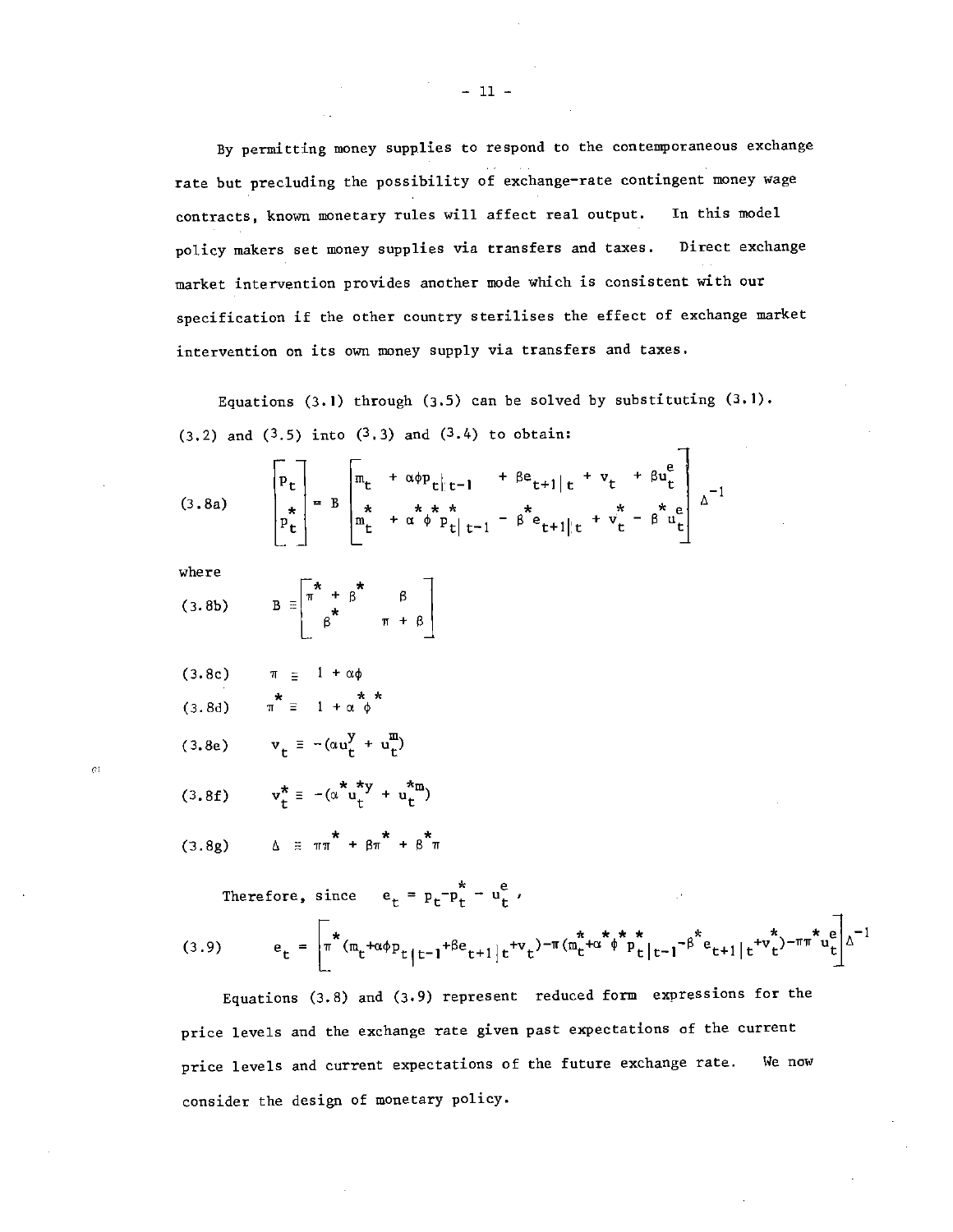By permitting money supplies to respond to the contemporaneous exchange rate but precluding the possibility of exchange—rate contingent money wage contracts, known monetary rules will affect real output. In this model policy makers set money supplies via transfers and taxes. Direct exchange market intervention provides another mode which is consistent with our specification if the other country sterilises the effect of exchange market intervention on its own money supply via transfers and taxes.

Equations (3.1) through (3.5) can be solved by substituting  $(3.1)$ .  $(3.2)$  and  $(3.5)$  into  $(3.3)$  and  $(3.4)$  to obtain:

 $\mathbf{\tau}$ 

(3.8a) 
$$
\begin{bmatrix} P_t \\ P_t \\ P_t^* \end{bmatrix} = B \begin{bmatrix} m_t + \alpha \phi p_{t|t-1} + \beta e_{t+1|t} + v_t + \beta u_t^e \\ \frac{\pi}{2} + \alpha \phi p_{t|t-1} + \beta e_{t+1|t} + v_t^* - \beta u_t^e \\ \frac{\pi}{2} + \alpha \phi p_{t|t-1} - \beta e_{t+1|t} + v_t^* - \beta u_t^e \end{bmatrix} \Delta^{-1}
$$

 $\alpha$ 

where  
(3.8b) 
$$
B = \begin{bmatrix} \pi & \pi & \pi \\ \pi & + \beta & \beta \\ \beta^* & \pi + \beta \end{bmatrix}
$$

$$
(3.8c) \qquad \pi \equiv 1 + \alpha \phi
$$

$$
(3.8d) \qquad \pi^* \equiv 1 + \alpha^* \phi
$$

$$
(3.8e) \t v_t \equiv -(\alpha u_t^y + u_t^m)
$$

$$
(3.8f) \t v_t^* \equiv -(\alpha^* u_t^{*y} + u_t^{*m})
$$

$$
(3.8g) \qquad \Delta \equiv \pi \pi + \beta \pi + \beta \pi
$$

Therefore, since 
$$
e_t = p_t - p_t^* - u_t^e
$$
,  
\n(3.9)  $e_t = \begin{bmatrix} \pi & (m_t + \alpha \phi p_{t|t-1} + \beta e_{t+1|t} + v_t)^{-\pi} (m_t^* + \alpha^* \phi^* p_{t|t-1}^* - \beta^* e_{t+1|t} + v_t^*)^{-\pi} m_{t|t}^e \end{bmatrix} \Delta^{-1}$ 

Equations (3.8) and (3.9) represent reduced form expressions for the price levels and the exchange rate given past expectations of the current price levels and current expectations of the future exchange rate. We now consider the design of monetary policy.

 $-11 -$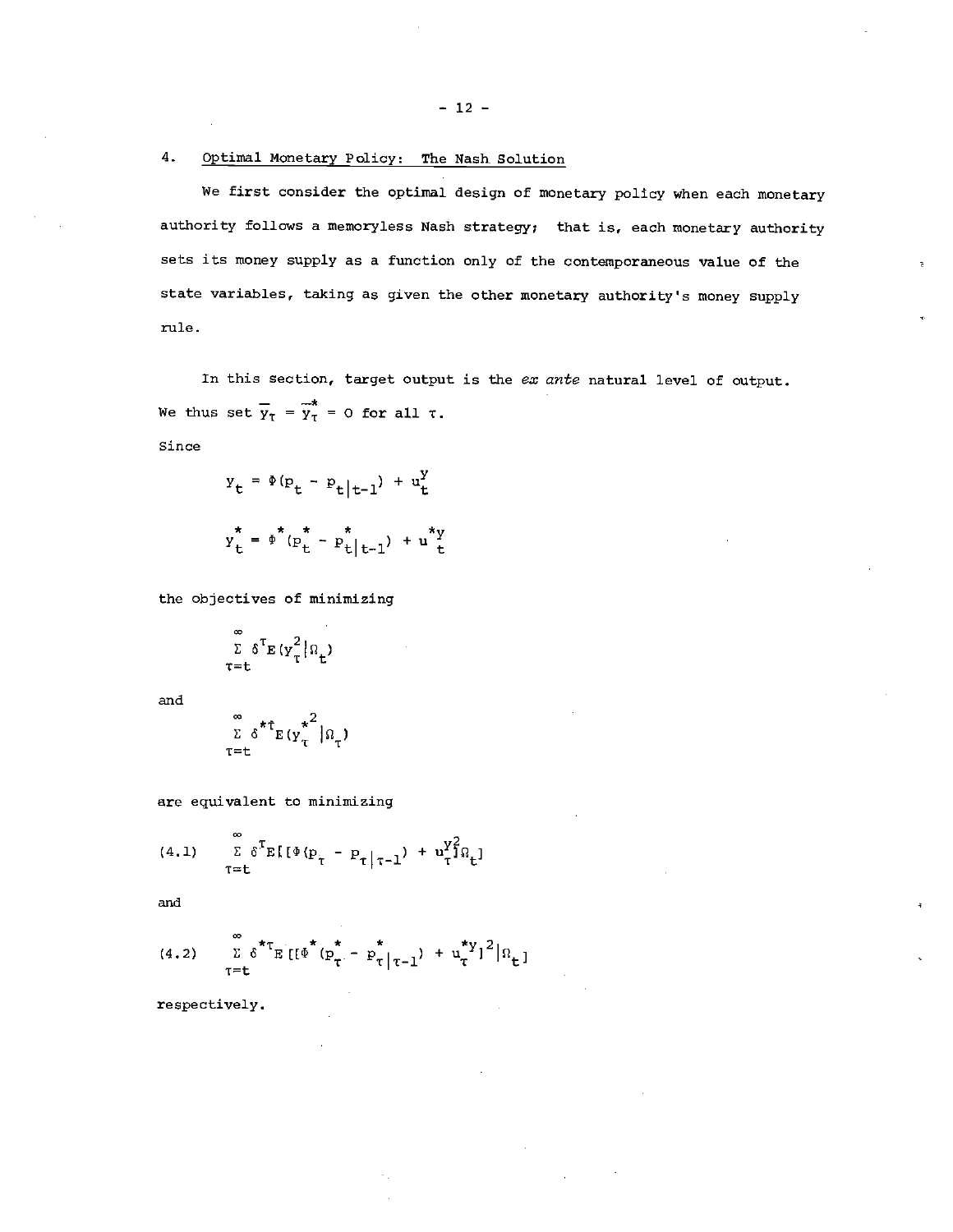# 4. Optimal Monetary Policy: The Nash Solution

We first consider the optimal design of monetary policy when each monetary authority follows a memoryless Nash strategy; that is, each monetary authority sets its money supply as a function only of the contemporaneous value of the state variables, taking as given the other monetary authority's money supply rule.

In this section, target output is the  $ex$  ante natural level of output. We thus set  $\overline{y}_{T} = \overline{y}_{T}^{*} = 0$  for all  $\tau$ .

Since

$$
y_{t} = \Phi (p_{t} - p_{t} |_{t-1}) + u_{t}^{y}
$$
  

$$
y_{t}^* = \Phi^* (p_{t}^* - p_{t}^* |_{t-1}) + u_{t}^{*y}
$$

the objectives of minimizing

$$
\sum_{\tau=t}^{\infty} \delta^{\tau} E(y_{\tau}^2 | \Omega_t)
$$

and

$$
\sum_{T=t}^{\infty} \delta^{*T} E(y_T^{*^2} | \Omega_T)
$$

are equivalent to minimizing

(4.1) 
$$
\sum_{\tau=t}^{\infty} \delta^{\tau} E[(\Phi(p_{\tau} - p_{\tau}|\tau - 1) + u_{\tau}^{Y_{\tau}^{2}}] \hat{u}_{t}]
$$

and

(4.2) 
$$
\sum_{\tau=t}^{\infty} 6^{*\tau} E\left[ \left[ \Phi^{*}(p_{\tau}^{*} - p_{\tau}^{*} |_{\tau-1}) + u_{\tau}^{*} Y \right]^{2} | \Omega_{t} \right]
$$

respectively.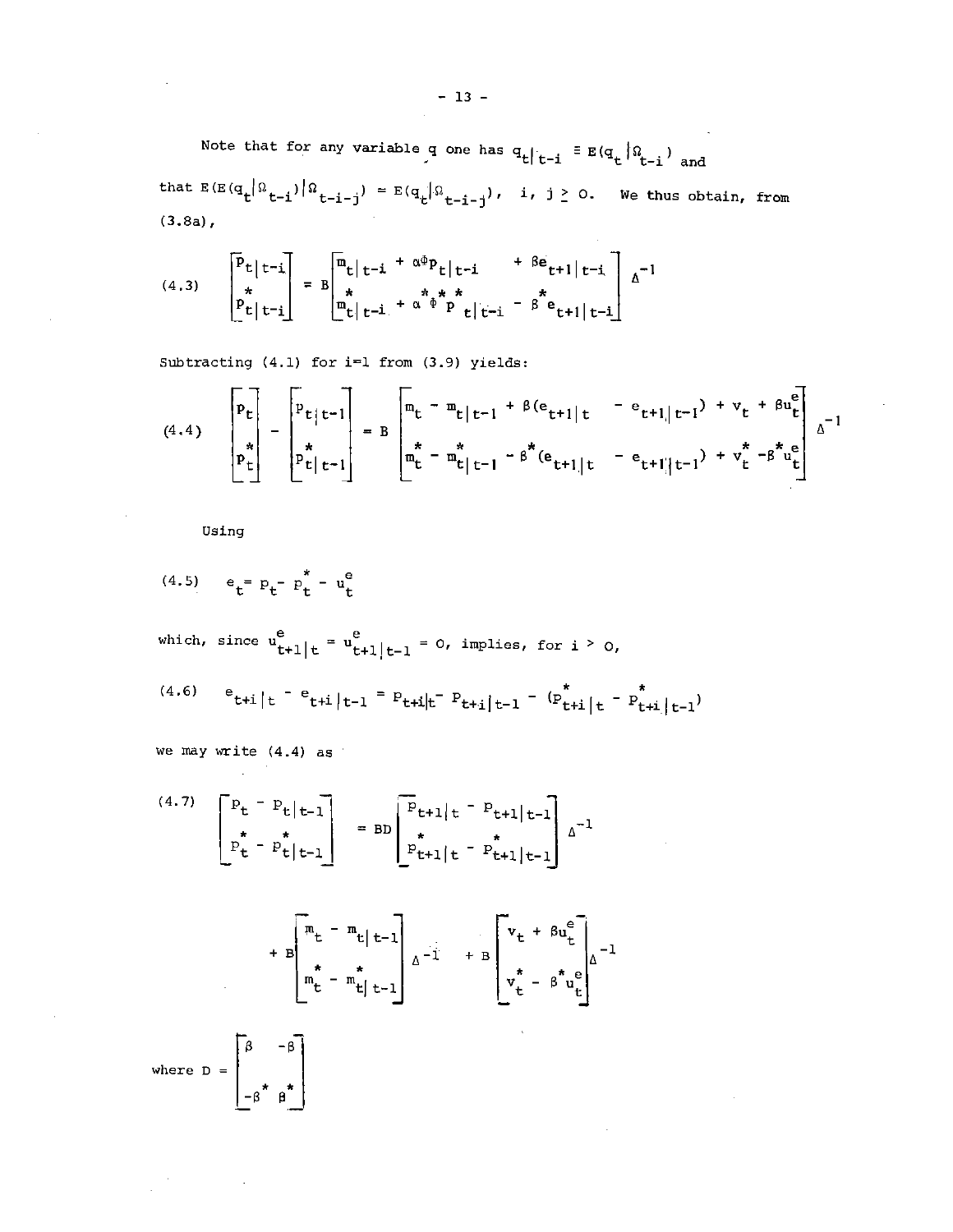Note that for any variable q one has  $q_t |_{t-i} \equiv E(q_t |_{t-i})$  and that  $E(E(q_t | \Omega_{t-i}) | Q_{t-i-j}) = E(q_t | \Omega_{t-i-j})$ , i, j  $\geq$  0. We thus obtain, from (3.8a),

(4.3) 
$$
\begin{bmatrix} \bar{P}_t | t-i \\ \hline \\ \bar{P}_t | t-i \end{bmatrix} = B \begin{bmatrix} m_t | t-i + \alpha^{\Phi} P_t | t-i + \beta e_{t+1} | t-i \\ \hline \\ m_t | t-i + \alpha^{\Phi} P_t | t-i - \beta^{\Phi} e_{t+1} | t-i \end{bmatrix} \Delta^{-1}
$$

Subtracting  $(4.1)$  for i=1 from  $(3.9)$  yields:

$$
(4.4) \quad\n\begin{bmatrix}\nP_t \\
\vdots \\
P_t\n\end{bmatrix}\n-\n\begin{bmatrix}\nP_{t}|t-1 \\
\vdots \\
P_{t}|t-1\n\end{bmatrix}\n=\nB\n\begin{bmatrix}\n\mathbf{m}_t - \mathbf{m}_{t}|t-1 + \beta(\mathbf{e}_{t+1}|t) - \mathbf{e}_{t+1}|t-1 + \mathbf{v}_t + \beta\mathbf{u}_t^{\mathbf{e}} \\
\vdots \\
\mathbf{m}_t - \mathbf{m}_{t}|t-1 - \beta^{\mathbf{x}}(\mathbf{e}_{t+1}|t) - \mathbf{e}_{t+1}|t-1) + \mathbf{v}_t^{\mathbf{x}} - \beta^{\mathbf{x}}\mathbf{u}_t^{\mathbf{e}}\n\end{bmatrix}\n\Delta^{-1}
$$

Using

(4.5) 
$$
e_t = p_t - p_t^* - u_t^e
$$

which, since  $\begin{cases} u^e_{t+1} | t = u^e_{t+1} | t-1 = 0, \text{ implies, for } i > 0, \end{cases}$ (4.6)  $e_{t+i|t} - e_{t+i|t-1} = p_{t+i|t} - p_{t+i|t-1} - (p_{t+i|t}^* - p_{t+i|t-1}^*)$ 

we may write  $(4.4)$  as

 $\mathcal{L}_{\text{max}}$  and  $\mathcal{L}_{\text{max}}$ 

(4.7) 
$$
\begin{bmatrix} P_t - P_t | t-1 \ P_t^* - P_t^* | t-1 \end{bmatrix} = BD \begin{bmatrix} P_{t+1} | t - P_{t+1} | t-1 \ P_{t+1} | t - P_{t+1} | t-1 \end{bmatrix} \Delta^{-1}
$$

$$
+ B \begin{bmatrix} m_{t} - m_{t} | t-1 \\ m_{t}^{*} - m_{t} | t-1 \end{bmatrix} \Delta^{-1} + B \begin{bmatrix} v_{t} + \beta u_{t}^{e} \\ v_{t}^{*} - \beta^{*} u_{t}^{e} \end{bmatrix} \Delta^{-1}
$$
  
\nwhere  $D = \begin{bmatrix} \beta & -\beta \\ -\beta^{*} & \beta^{*} \end{bmatrix}$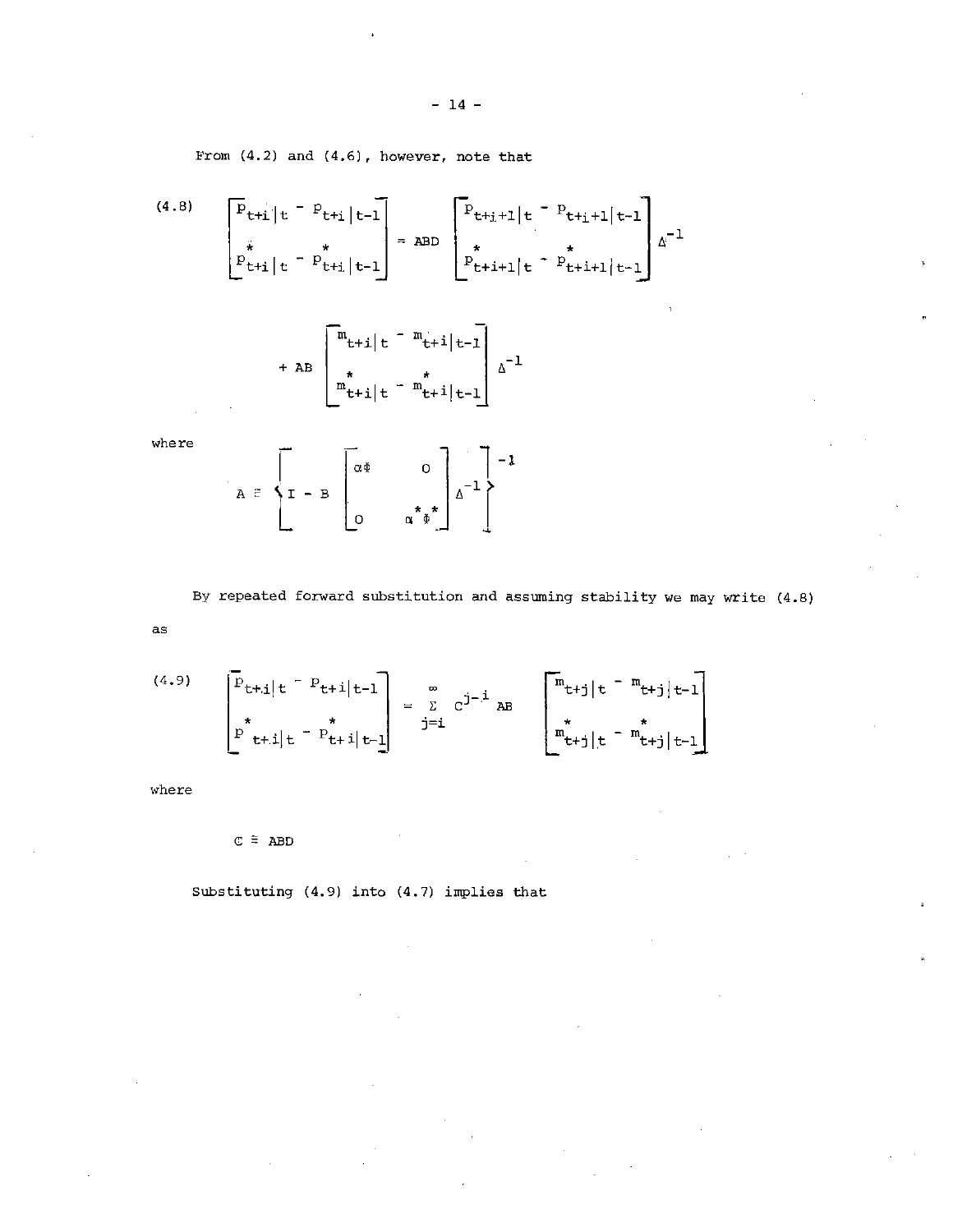From (4.2) and (4.6), however, note that

(4.8)  

$$
\begin{bmatrix} P_{t+1} | t^{-p} t_{t+1} | t^{-1} \end{bmatrix} = ABD \begin{bmatrix} P_{t+j+1} | t^{-p} t_{t+j+1} | t^{-1} \end{bmatrix} \Delta^{-1}
$$

$$
\begin{bmatrix} P_{t+j+1} | t^{-p} t_{t+j+1} | t^{-1} \end{bmatrix} = \begin{bmatrix} P_{t+j+1} | t^{-p} t_{t+j+1} | t^{-1} \end{bmatrix}
$$

$$
+ AB \begin{bmatrix} m_{t+1} | t - m_{t+1} | t-1 \ m_{t+1} | t - m_{t+1} | t-1 \end{bmatrix} \Delta^{-1}
$$

where  

$$
A = \begin{bmatrix} 1 & -B & 0 & 0 \\ 0 & 0 & 0 & 0 \\ 0 & 0 & 0 & 0 \end{bmatrix} \Delta^{-1}
$$

By repeated forward substitution and assuming stability we may write (4.8)

as

(4.9) 
$$
\begin{bmatrix} p_{t+j|t} - p_{t+j|t-1} \\ \vdots \\ p_{t+j|t} - p_{t+j|t-1} \end{bmatrix} = \sum_{j=i}^{\infty} c^{j-j} AB \begin{bmatrix} m_{t+j|t} - m_{t+j|t-1} \\ \vdots \\ m_{t+j|t} - m_{t+j|t-1} \end{bmatrix}
$$

where

 $C \equiv ABD$ 

substituting (4.9) into (4.7) implies that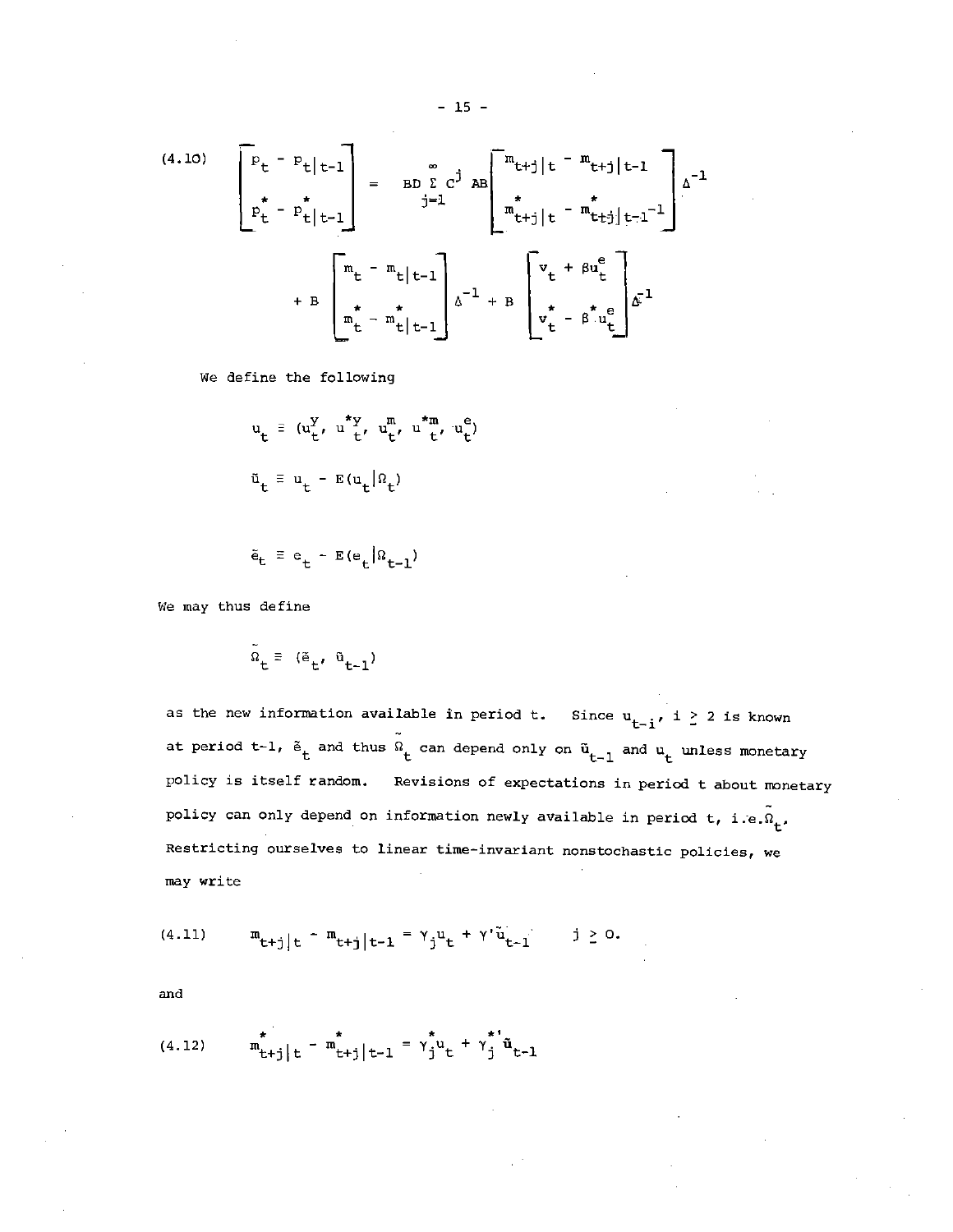(4.10) 
$$
\begin{bmatrix} p_{t} - p_{t} | t - 1 \\ p_{t}^{*} - p_{t}^{*} | t - 1 \end{bmatrix} = BD \sum_{j=1}^{\infty} c^{j} AB \begin{bmatrix} m_{t+j} | t - m_{t+j} | t - 1 \\ m_{t+j}^{*} | t - m_{t+j}^{*} | t - 1 \end{bmatrix} \Delta^{-1}
$$

$$
+ B \begin{bmatrix} m_{t} - m_{t} | t - 1 \\ m_{t}^{*} - m_{t}^{*} | t - 1 \end{bmatrix} \Delta^{-1} + B \begin{bmatrix} v_{t} + \beta u_{t}^{e} \\ v_{t}^{*} - \beta u_{t}^{*} \end{bmatrix} \Delta^{-1}
$$

We define the following

$$
u_t \equiv (u_t^y, u_{t'}^{*y}, u_t^m, u_{t'}^{*m}, u_t^e)
$$
  

$$
\tilde{u}_t \equiv u_t - E(u_t|\Omega_t)
$$

$$
\tilde{\mathbf{e}}_t \equiv \mathbf{e}_t - \mathbf{E}(\mathbf{e}_t | \Omega_{t-1})
$$

We may thus define

$$
\Omega_{t} = (\tilde{e}_{t}, \tilde{u}_{t-1})
$$

as the new information available in period t. Since  $u_{t-i}$ ,  $i \geq 2$  is known at period t-1,  $\tilde{e}_t$  and thus  $\tilde{w}_t$  can depend only on  $\tilde{u}_{t-1}$  and  $u_t$  unless monetary policy is itself random. Revisions of expectations in period t about monetary policy can only depend on information newly available in period t, i.e.  $\tilde{\Omega}_t$ . Restricting ourselves to linear time-invariant nonstochastic policies, we may write

(4.11) 
$$
m_{t+j|t} - m_{t+j|t-1} = \gamma_j u_t + \gamma' \tilde{u}_{t-1}
$$
  $j \ge 0$ .

and

(4.12) 
$$
\mathbf{m}_{t+j|t}^* - \mathbf{m}_{t+j|t-1}^* = \gamma_j^* \mathbf{u}_t + \gamma_j^* \mathbf{\tilde{u}}_{t-1}
$$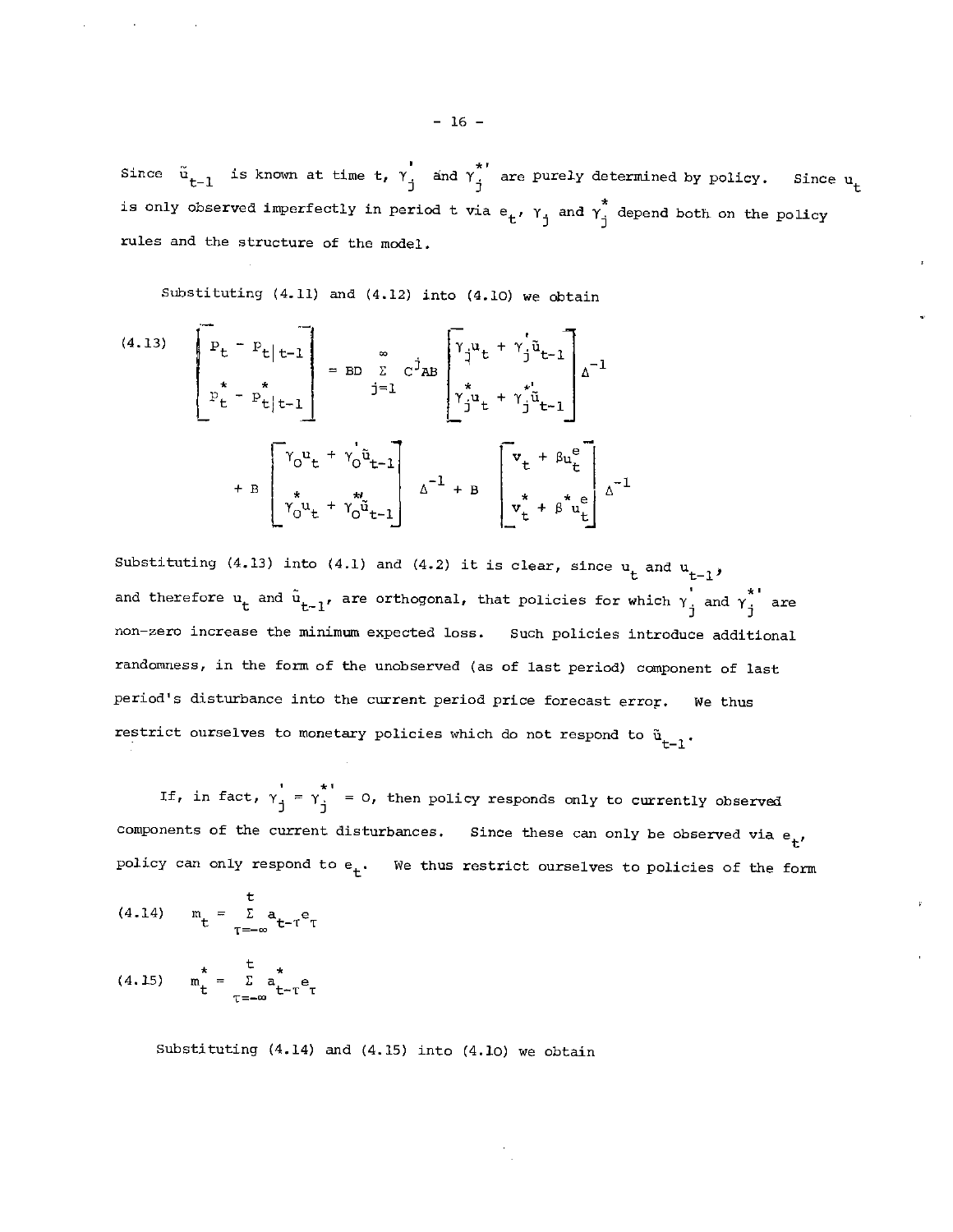Since  $\tilde{u}_{t-1}$  is known at time t,  $\gamma_1'$  and  $\gamma_1^{*'}$  are purely determined by policy. Since  $u_t$ is only observed imperfectly in period t via  $e_t$ ,  $\gamma_j$  and  $\gamma_j^*$  depend both on the policy rules and the structure of the model.

Substituting (4.11) and (4.12) into (4.10) we obtain

(4.13) 
$$
\begin{bmatrix} P_{t} - P_{t} | t - 1 \ p_{t}^{*} - P_{t} | t - 1 \end{bmatrix} = BD \sum_{j=1}^{\infty} C^{j}AB \begin{bmatrix} \gamma_{j} u_{t} + \gamma_{j}^{*} u_{t-1} \\ \gamma_{j}^{*} u_{t} + \gamma_{j}^{*} u_{t-1} \end{bmatrix} \Delta^{-1}
$$

$$
+ B \begin{bmatrix} \gamma_{0} u_{t} + \gamma_{0}^{*} u_{t-1} \\ \gamma_{0}^{*} u_{t} + \gamma_{0}^{*} u_{t-1} \end{bmatrix} \Delta^{-1} + B \begin{bmatrix} v_{t} + \beta u_{t}^{e} \\ v_{t}^{*} + \beta^{*} u_{t}^{e} \end{bmatrix} \Delta^{-1}
$$

Substituting (4.13) into (4.1) and (4.2) it is clear, since  $u_t$  and  $u_{t-1}$ , and therefore  $u_t$  and  $\tilde{u}_{t-1}$ , are orthogonal, that policies for which  $y'_1$  and  $y''_1$  are non—zero increase the minimum expected loss. Such policies introduce additional randomness, in the form of the unobserved (as of last period) component of last period's disturbance into the current period price forecast error. We thus restrict ourselves to monetary policies which do not respond to  $\tilde{u}_{t-1}$ .

If, in fact,  $\gamma_1' = \gamma_1^{*1} = 0$ , then policy responds only to currently observed components of the current disturbances. Since these can only be observed via  $e_t$ policy can only respond to  $e_t$ . We thus restrict ourselves to policies of the form

(4.14) 
$$
m_t = \sum_{T=-\infty}^{t} a_{t-T} e_T
$$
  
(4.15)  $m_t^* = \sum_{T=-\infty}^{t} a_{t-T}^* e_T$ 

Substituting (4.14) and (4.15) into (4.10) we obtain

 $-16 -$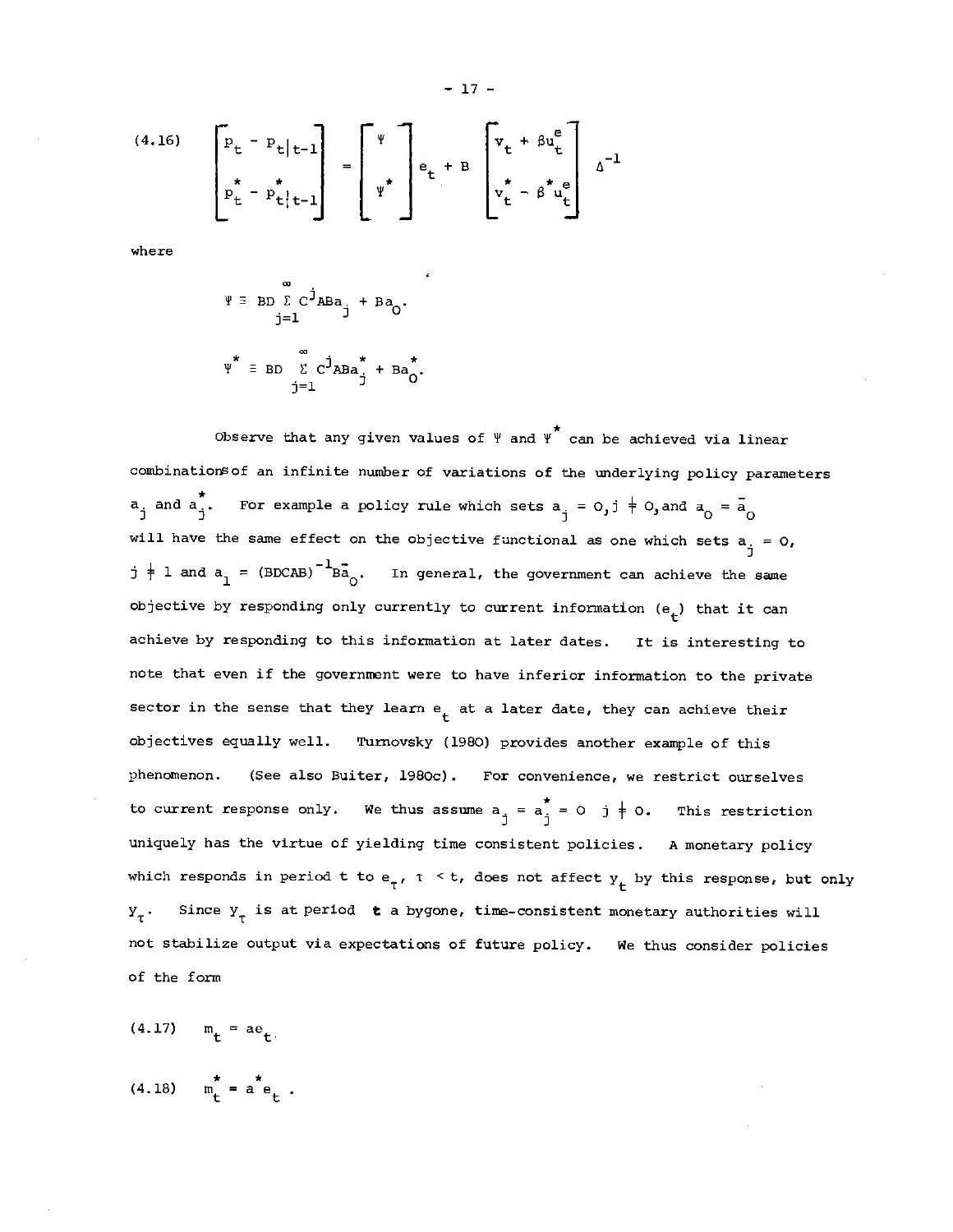(4.16) 
$$
\begin{bmatrix} p_t - p_t | t - l \\ p_t^* - p_t^* | t - l \end{bmatrix} = \begin{bmatrix} \Psi \\ \Psi^* \end{bmatrix} e_t + B \begin{bmatrix} v_t + \beta u_t^e \\ v_t^* - \beta^* u_t^e \end{bmatrix} \Delta^{-1}
$$

where

$$
\Psi = BD \sum_{j=1}^{\infty} C^{j}ABa_{j} + Ba_{0}.
$$
  

$$
\Psi^* = BD \sum_{j=1}^{\infty} C^{j}ABa_{j}^* + Ba_{0}^*.
$$

Observe that any given values of  $\Psi$  and  $\Psi^*$  can be achieved via linear combinations of an infinite number of variations of the underlying policy parameters  $a_j$  and  $a_j^*$ . For example a policy rule which sets  $a_j = 0, j \neq 0,$  and  $a_0 = \overline{a}_0$ will have the same effect on the objective functional as one which sets  $a_{\dot{q}} = 0$ ,  $j + 1$  and  $a_1 = (BDCAB)^{-1}B\bar{a}_0$ . In general, the government can achieve the same objective by responding only currently to current information  $(e_{+})$  that it can achieve by responding to this information at later dates. It is interesting to note that even if the government were to have inferior information to the private sector in the sense that they learn  $e_t$  at a later date, they can achieve their objectives equally well. Turnovsky (1980) provides another example of this phenomenon. (See also Buiter, 1980c). For convenience, we restrict ourselves to current response only. We thus assume  $a_j = a_j^* = 0 \quad j \neq 0$ . This restriction uniquely has the virtue of yielding time consistent policies. A monetary policy which responds in period t to  $e_{\tau}$ ,  $\tau \leq t$ , does not affect  $y_{t}$  by this response, but only  $Y_{\tau}$ . Since  $Y_{\tau}$  is at period  $t$  a bygone, time-consistent monetary authorities will not stabilize output via expectations of future policy. We thus consider policies of the form

$$
(4.17) \qquad m_{\mathbf{t}} = ae_{\mathbf{t}}.
$$

$$
(4.18) \t m_t^* = a^* e_t.
$$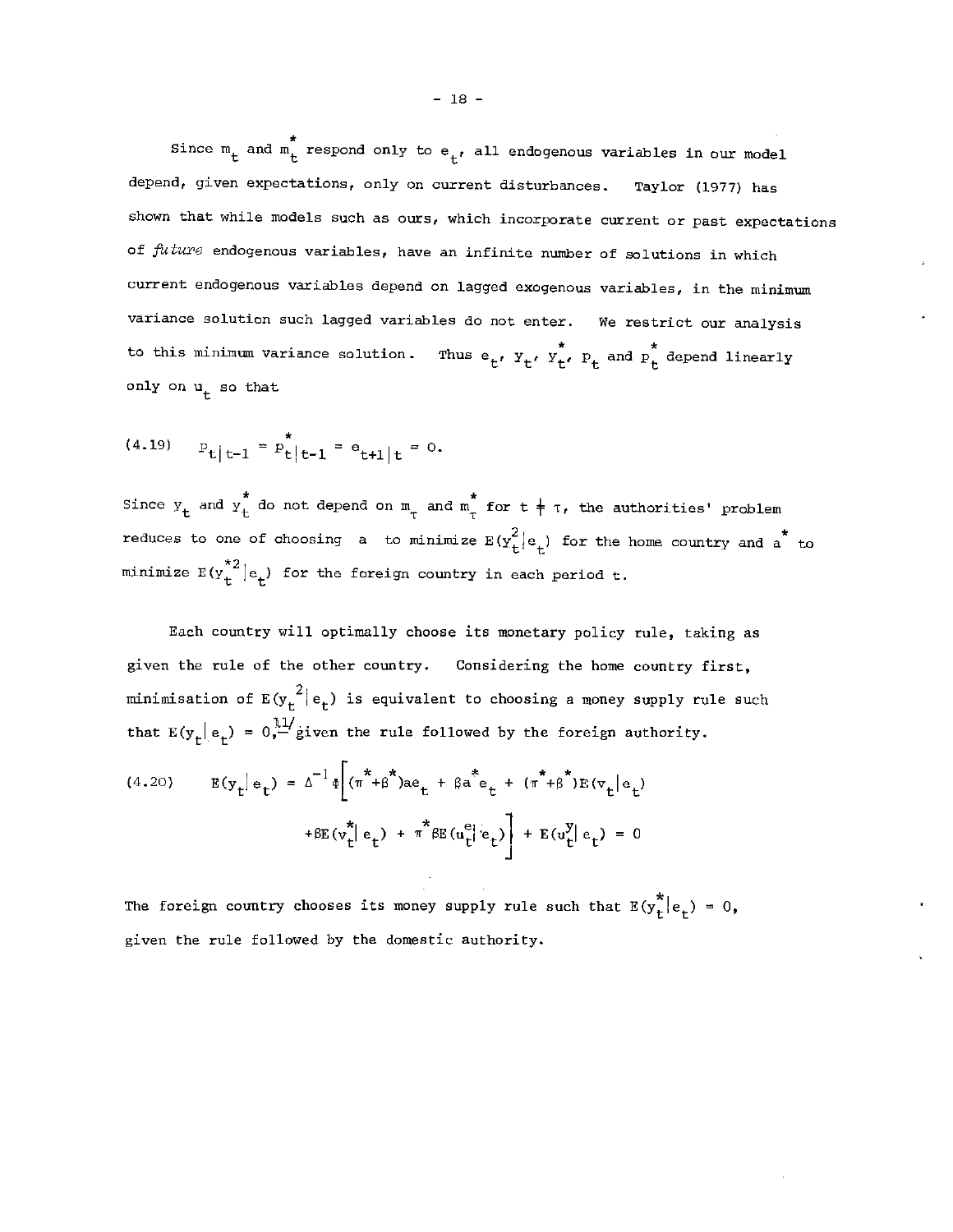Since  $m_t$  and  $m_t^*$  respond only to  $e_t$ , all endogenous variables in our model depend, given expectations, only on current disturbances. Taylor (1977) has shown that while models such as ours, which incorporate current or past expectations of  $future$  endogenous variables, have an infinite number of solutions in which current endogenous variables depend on lagged exogenous variables, in the minimum variance solution such lagged variables do not enter. We restrict our analysis to this minimum variance solution. Thus  ${\sf e_t}$ ,  ${\tt y_t}$ ,  ${\tt y_t}$ ,  ${\tt P_t}$  and  ${\tt P_t}$  depend linearly only on  $u_t$  so that

$$
(4.19) \t Pt|t-1 = Pt|t-1 = et+1|t = 0.
$$

Since  $y_t$  and  $y_t^*$  do not depend on  $m_t$  and  $m_t^*$  for  $t \neq \tau$ , the authorities' problem reduces to one of choosing a to minimize  $E(y_t^2|e_t)$  for the home country and a to minimize  $\text{E}(y_{+}^{*2}|\text{e}_{+})$  for the foreign country in each period t.

ach country will optimally choose its monetary policy rule, taking as given the rule of the other country. Considering the home country first, minimisation of  $E(y_t^2|e_t)$  is equivalent to choosing a money supply rule such that  $E(y_t | e_t) = 0$ , given the rule followed by the foreign authority.

(4.20) 
$$
E(y_t|e_t) = \Delta^{-1} \Phi \left[ (\pi^* + \beta^*)ae_t + \beta a^*e_t + (\pi^* + \beta^*)E(v_t|e_t) + \beta E(v_t^*|e_t) + \pi^* \beta E(u_t^e|e_t) \right] + E(u_t^y|e_t) = 0
$$

The foreign country chooses its money supply rule such that  $E(y_t^*)|e_t = 0$ , given the rule followed by the domestic authority.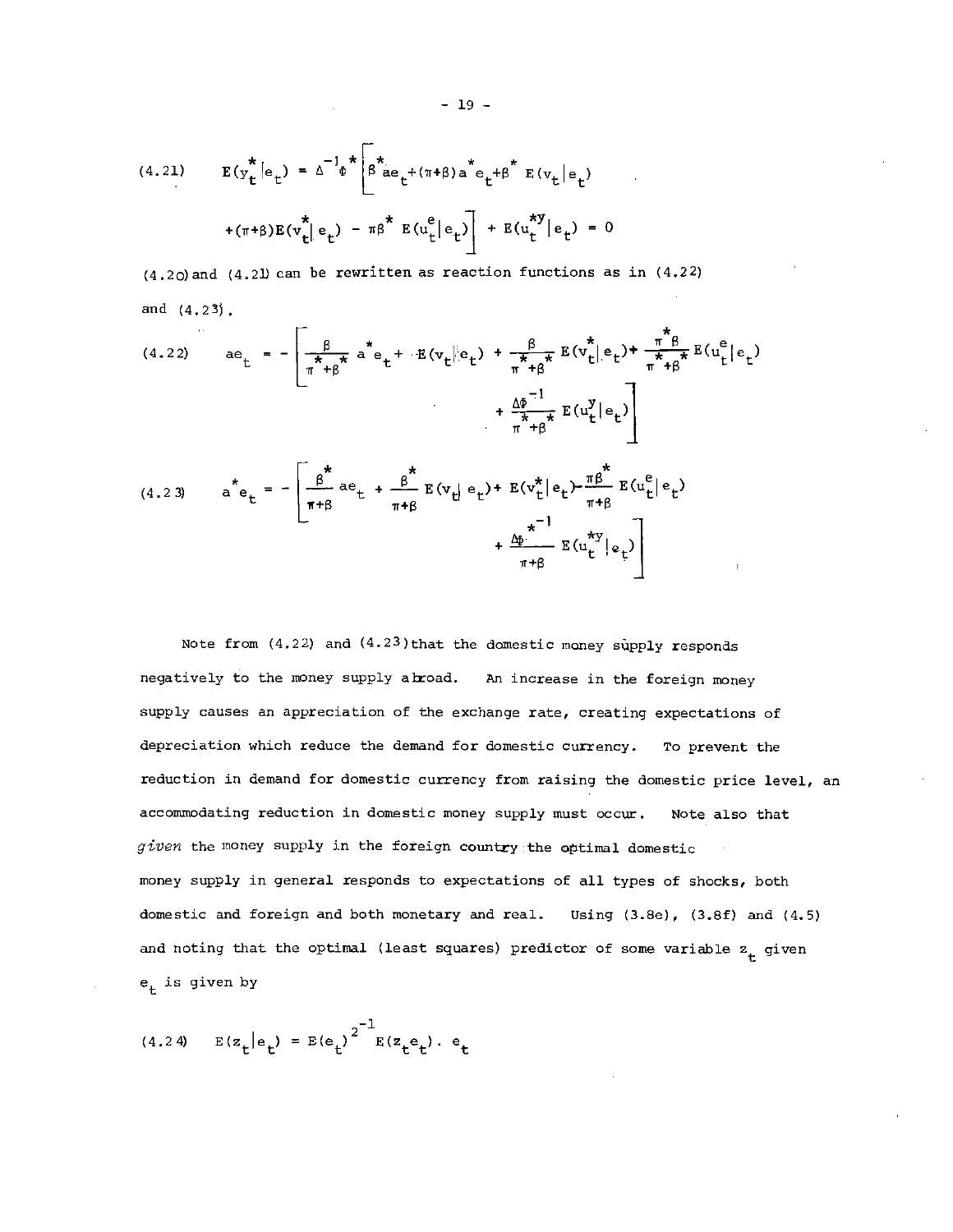(4.21) 
$$
E(y_t^* | e_t) = \Delta^{-1} \Phi^* \left[ \beta^* a e_t^+ (\pi + \beta) a^* e_t^+ \beta^* E(v_t | e_t) + (\pi + \beta) E(v_t^* | e_t) - \pi \beta^* E(u_t^e | e_t) \right] + E(u_t^{*y} | e_t) = 0
$$

 $(4.20)$  and  $(4.21)$  can be rewritten as reaction functions as in  $(4.22)$ and (4.23j.

(4.22) 
$$
\begin{aligned}\n &\text{ae}_{t} = -\left[\frac{\beta}{\pi + \beta} \dot{\mathbf{a}}^* \mathbf{e}_t + \mathbf{E}(v_t || \mathbf{e}_t) + \frac{\beta}{\pi + \beta} E(v_t^* || \mathbf{e}_t) + \frac{\pi^* \beta}{\pi + \beta} E(u_t^e | \mathbf{e}_t)\right] \\
 &\quad + \frac{\Delta \phi}{\pi + \beta} E(u_t^y | \mathbf{e}_t)\right] \\
 &\text{(4.23)} \qquad \dot{\mathbf{a}}^* \mathbf{e}_t = -\left[\frac{\beta^*}{\pi + \beta} \mathbf{a} \mathbf{e}_t + \frac{\beta^*}{\pi + \beta} E(v_t || \mathbf{e}_t) + E(v_t^* || \mathbf{e}_t) - \frac{\pi \beta^*}{\pi + \beta} E(u_t^e | \mathbf{e}_t)\right] \\
 &\quad + \frac{\Delta \phi}{\pi + \beta} E(u_t^y | \mathbf{e}_t)\n\end{aligned}
$$

Note from  $(4.22)$  and  $(4.23)$  that the domestic money supply responds negatively to the money supply abroad. An increase in the foreign money supply causes an appreciation of the exchange rate, creating expectations of depreciation which reduce the demand for domestic currency. To prevent the reduction in demand for domestic currency from raising the domestic price level, an accommodating reduction in domestic money supply must occur. Note also that given the money supply in the foreign country the optimal domestic money supply in general responds to expectations of all types of shocks, both domestic and foreign and both monetary and real. Using (3.Be), (3.Bf) and (4.5) and noting that the optimal (least squares) predictor of some variable  $z_t$  given  $e_+$  is given by

(4.24) 
$$
E(z_t|e_t) = E(e_t)^{2^{-1}}E(z_t e_t) \cdot e_t
$$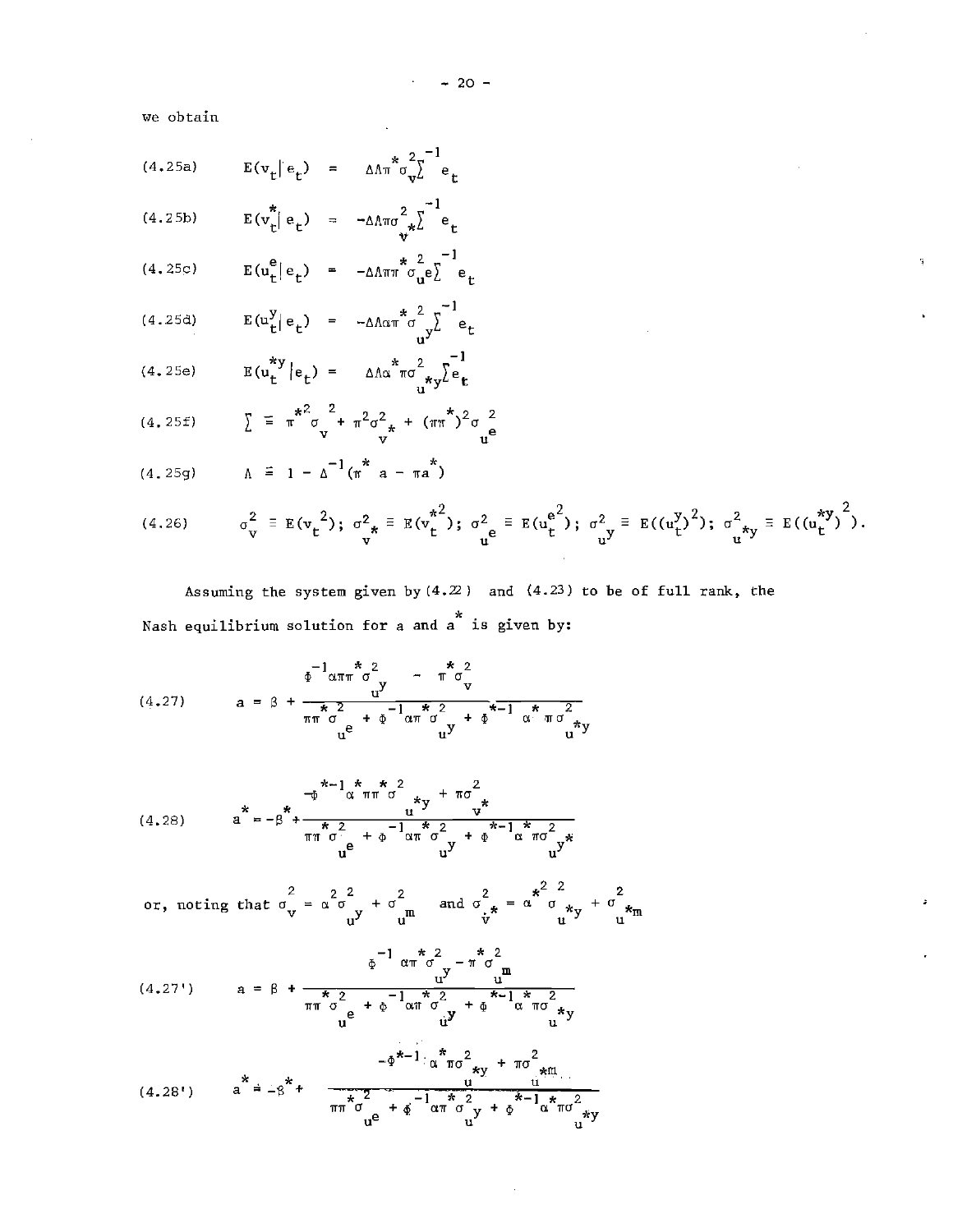$-20 -$ 

we obtain

$$
(4.25a) \t E(v_t | e_t) = \Delta \Lambda \pi^* \sigma_v^2 \epsilon_t^{-1} e_t
$$

$$
(4.25b) \tE(v_t^*|e_t) = -\Delta \text{Area}^2 v_t^{\frac{-1}{2}}e_t
$$

$$
(4.25c) \t E(u_t^e|e_t) = -\Delta \Lambda \pi \pi^* \sigma_u^2 e_t^{-1} e_t
$$

(4.25d) 
$$
E(u_t^y|e_t) = -\Delta \Lambda \alpha \pi^* \sigma \frac{2}{u^y} e_t
$$

(4.25e) 
$$
E(u_t^{*y} | e_t) = \Delta \Lambda \alpha^* \pi \sigma_{u^{*y}}^2 \sum_{k=1}^{-1} e_k
$$

(4.25f) 
$$
\sum_{\mathbf{u}}^{\mathbf{v}} = \pi^{\frac{2}{\pi^2}} \sigma_{\mathbf{v}}^2 + \pi^2 \sigma_{\mathbf{v}}^2 + (\pi \pi^{\frac{2}{\pi}})^2 \sigma_{\mathbf{u}}^2 \mathbf{e}
$$

 $A = 1 - \Delta^{-1}(\pi^* a - \pi a^*)$ (4. 25g)

$$
(4.26) \qquad \sigma_{v}^{2} \equiv E(v_{t}^{2}); \; \sigma_{*}^{2} \equiv E(v_{t}^{*2}); \; \sigma_{u}^{2} \equiv E(u_{t}^{e^{2}}); \; \sigma_{u}^{2} \equiv E((u_{t}^{y})^{2}); \; \sigma_{u}^{2} \equiv E((u_{t}^{*y})^{2}).
$$

Assuming the system given by  $(4.2)$  and  $(4.23)$  to be of full rank, the \* Nash equilibrium solution for a and a is given by:

—1 \*2 4) cm <sup>a</sup> - \*2 ira V (4.27) \*2 — \*2 \* wit a + 4) IT <sup>d</sup> + 4) <sup>e</sup> <sup>y</sup> <sup>u</sup> <sup>U</sup> \* 2 TiraU

(4.28) 
$$
a^{*} = -\beta^{*} + \frac{1}{\pi} \int_{u}^{*\pi} \frac{x^{2}}{u^{2}} + \frac{1}{2} \int_{u}^{*\pi} \frac{1}{u^{2}} dx
$$

$$
a^{*} = -\beta^{*} + \frac{1}{\pi} \int_{u}^{*\pi} \frac{1}{u^{2}} dx + \frac{1}{2} \int_{u}^{*\pi} \frac{1}{u^{2}} dx + \frac{1}{2} \int_{u}^{*\pi} \frac{1}{u^{2}} dx
$$

or, noting that 
$$
\sigma_{\mathbf{v}}^2 = \alpha \sigma_{\mathbf{v}}^2 + \sigma_{\mathbf{m}}^2
$$
 and  $\sigma_{\dot{\mathbf{r}}^*}^2 = \alpha \sigma_{\mathbf{m}}^2 + \sigma_{\mathbf{m}}^2$ 

$$
(4.27') \qquad a = \beta + \frac{\frac{1}{\phi} \pi^* \sigma^2 - \pi^* \sigma^2}{\pi^* \sigma^2} \frac{1}{\phi} \qquad \frac{u}{u} \qquad \frac{u}{v} \qquad \frac{u}{v} \qquad \frac{u}{v} \qquad \frac{u}{v} \qquad \frac{u}{v} \qquad \frac{u}{v} \qquad \frac{u}{v} \qquad \frac{u}{v} \qquad \frac{u}{v} \qquad \frac{u}{v} \qquad \frac{u}{v} \qquad \frac{u}{v} \qquad \frac{u}{v} \qquad \frac{u}{v} \qquad \frac{u}{v} \qquad \frac{u}{v} \qquad \frac{u}{v} \qquad \frac{u}{v} \qquad \frac{u}{v} \qquad \frac{u}{v} \qquad \frac{u}{v} \qquad \frac{u}{v} \qquad \frac{u}{v} \qquad \frac{u}{v} \qquad \frac{u}{v} \qquad \frac{u}{v} \qquad \frac{u}{v} \qquad \frac{u}{v} \qquad \frac{u}{v} \qquad \frac{u}{v} \qquad \frac{u}{v} \qquad \frac{u}{v} \qquad \frac{u}{v} \qquad \frac{u}{v} \qquad \frac{u}{v} \qquad \frac{u}{v} \qquad \frac{u}{v} \qquad \frac{u}{v} \qquad \frac{u}{v} \qquad \frac{u}{v} \qquad \frac{u}{v} \qquad \frac{u}{v} \qquad \frac{u}{v} \qquad \frac{u}{v} \qquad \frac{u}{v} \qquad \frac{u}{v} \qquad \frac{u}{v} \qquad \frac{u}{v} \qquad \frac{u}{v} \qquad \frac{u}{v} \qquad \frac{u}{v} \qquad \frac{u}{v} \qquad \frac{u}{v} \qquad \frac{u}{v} \qquad \frac{u}{v} \qquad \frac{u}{v} \qquad \frac{u}{v} \qquad \frac{u}{v} \qquad \frac{u}{v} \qquad \frac{u}{v} \qquad \frac{u}{v} \qquad \frac{u}{v} \qquad \frac{u}{v} \qquad \frac{u}{v} \qquad \frac{u}{v} \qquad \frac{u}{v} \qquad \frac{u}{v} \qquad \frac{u}{v} \qquad \frac{u}{v} \
$$

$$
(4.28') \quad a^* = -\beta^* + \frac{-\Phi^{*-1} \alpha^* \pi \sigma^2_{*y} + \pi \sigma^2_{*m}}{\pi \pi^* \sigma^2_{w} + \Phi^{-1} \alpha^* \sigma^2_{y} + \Phi^{-1} \alpha^* \pi \sigma^2_{*y}}
$$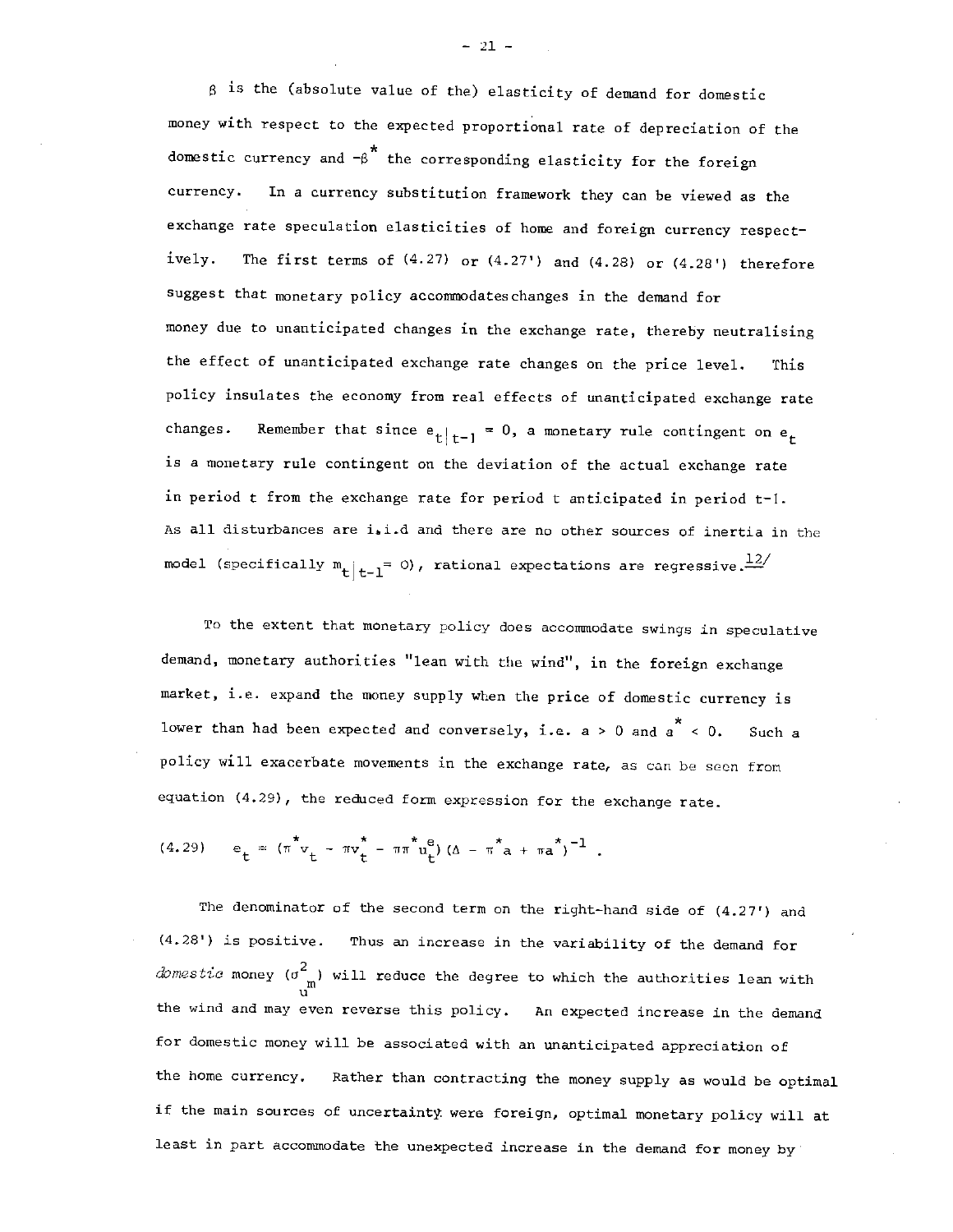is the (absolute value of the) elasticity of demand for domestic money with respect to the expected proportional rate of depreciation of the domestic currency and  $-8$ <sup>\*</sup> the corresponding elasticity for the foreign currency. In a currency substitution framework they can be viewed as the exchange rate speculation elasticities of home and foreign currency respectively. The first terms of  $(4.27)$  or  $(4.27')$  and  $(4.28)$  or  $(4.28')$  therefore suggest that monetary policy accommodates changes in the demand for money due to unanticipated changes in the exchange rate, thereby neutralising the effect of unanticipated exchange rate changes on the price level. This policy insulates the economy from real effects of unanticipated exchange rate changes. Remember that since  $e_t|_{t=1} = 0$ , a monetary rule contingent on  $e_t$ is a monetary rule contingent on the deviation of the actual exchange rate in period t from the exchange rate for period t anticipated in period t—1. As all disturbances are i.i.d and there are no other sources of inertia in the model (specifically  $m_{t}|_{t=1}$  = 0), rational expectations are regressive. $\frac{12}{t}$ 

To the extent that monetary policy does accommodate swings in speculative demand, monetary authorities "lean with the wind", in the foreign exchange market, i.e. expand the money supply when the price of domestic currency is lower than had been expected and conversely, i.e. a > 0 and  $a^* < 0$ . Such a policy will exacerbate movements in the exchange rate, as can be seen from equation (4.29), the reduced form expression for the exchange rate.

(4.29) 
$$
e_t = (\pi^* v_t - \pi v_t^* - \pi \pi^* u_t^e) (\Delta - \pi^* a + \pi a^*)^{-1}
$$
.

The denominator of the second term on the right-hand side of  $(4.27')$  and (4.28') is positive. Thus an increase in the variability of the demand for *domestic* money ( $\sigma_{\text{m}}^2$ ) will reduce the degree to which the authorities lean with the wind and may even reverse this policy. An expected increase in the demand for domestic money will be associated with an unanticipated appreciation of the home currency. Rather than contracting the money supply as would be optimal if the main sources of uncertainty were foreign, optimal monetary policy will at least in part accommodate the unexpected increase in the demand for money by

 $-21 -$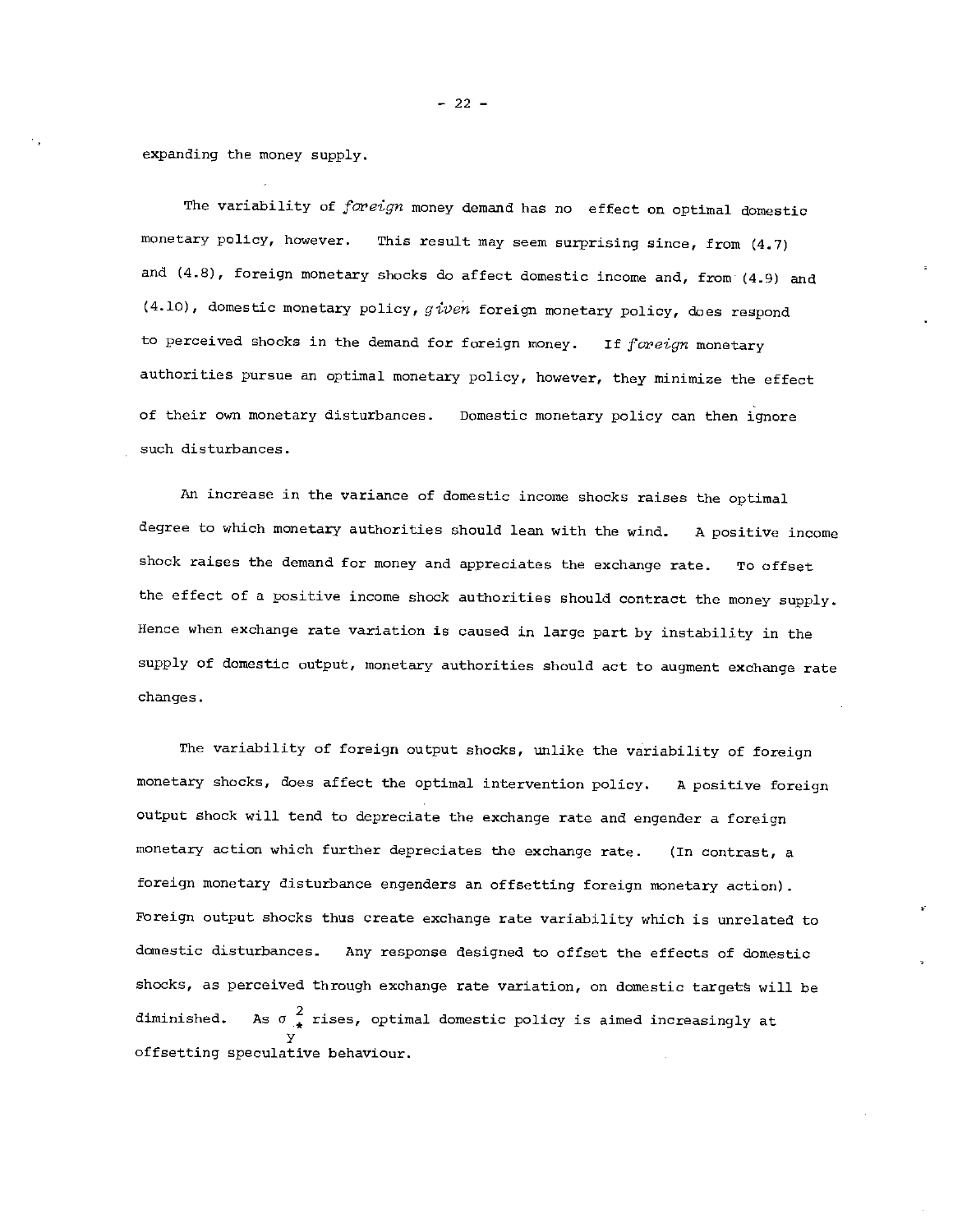expanding the money supply.

The variability of  $forei$ gn money demand has no effect on optimal domestic monetary policy, however. This result may seem surprising since, from  $(4.7)$ and  $(4.8)$ , foreign monetary shocks do affect domestic income and, from  $(4.9)$  and  $(4.10)$ , domestic monetary policy, given foreign monetary policy, does respond to perceived shocks in the demand for foreign money. If foreign monetary authorities pursue an optimal monetary policy, however, they minimize the effect of their own monetary disturbances. Domestic monetary policy can then ignore such disturbances.

An increase in the variance of domestic income shocks raises the optimal degree to which monetary authorities should lean with the wind. A positive income shock raises the demand for money and appreciates the exchange rate. To offset the effect of a positive income shock authorities should contract the money supply. Hence when exchange rate variation is caused in large part by instability in the supply of domestic output, monetary authorities should act to augment exchange rate changes.

The variability of foreign output shocks, unlike the variability of foreign monetary shocks, does affect the optimal intervention policy. A positive foreign output shock will tend to depreciate the exchange rate and engender a foreign monetary action which further depreciates the exchange rate. (In contrast, a foreign monetary disturbance engenders an offsetting foreign monetary action) Foreign output shocks thus create exchange rate variability which is unrelated to domestic disturbances. Any response designed to offset the effects of domestic shocks, as perceived through exchange rate variation, on domestic targets will be diminished. As  $\sigma_{\star}^2$  rises, optimal domestic policy is aimed increasingly at y offsetting speculative behaviour.

 $-22 -$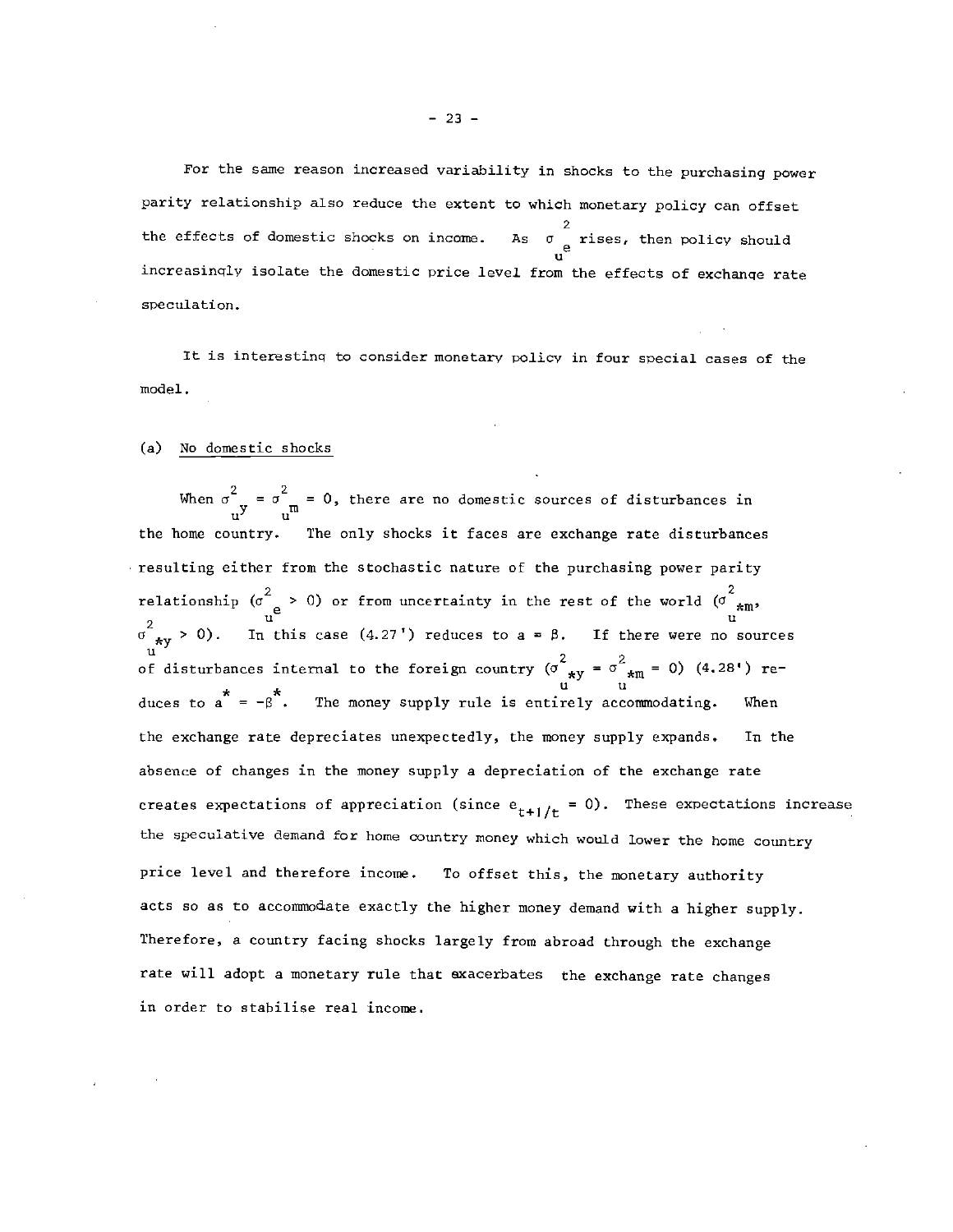— 23 —

parity relationship also reduce the extent to which monetary policy can offset 2 the effects of domestic shocks on income.  $_{\rm e}$  rises, then policy should  $\mathbf{u}^{\top}$  and  $\mathbf{u}^{\top}$ increasingly isolate the domestic price level from the effects of exchange rate speculation.

It is interesting to consider monetary policy in four special cases of the model.

# (a) No domestic shocks

When  $\sigma_{\text{uV}}^{\text{c}} = \sigma_{\text{m}}^{\text{c}} = 0$ , there are no domestic sources of disturbances in the home country. The only shocks it faces are exchange rate disturbances resulting either from the stochastic nature of the purchasing power parity relationship ( $\sigma^2$  > 0) or from uncertainty in the rest of the world ( $\sigma^2$ <sub>\*m</sub>,  $\sigma_{xy}^2 > 0$ ). In this case (4.27') reduces to a =  $\beta$ . If there were no sources of disturbances internal to the foreign country ( $\sigma_{*y}^2 = \sigma_{*m}^2 = 0$ ) (4.28') reduces to  $a^* = -\beta^*$ . The money supply rule is entirely accommodating. When the exchange rate depreciates unexpectedly, the money supply expands. In the absence of changes in the money supply a depreciation of the exchange rate creates expectations of appreciation (since  $e_{t+1/t} = 0$ ). These expectations increase the speculative demand for home country money which would lower the home country price level and therefore income. To offset this, the monetary authority acts so as to accommodate exactly the higher money demand with a higher supply. Therefore, a country facing shocks largely from abroad through the exchange rate will adopt a monetary rule that exacerbates the exchange rate changes in order to stabilise real income.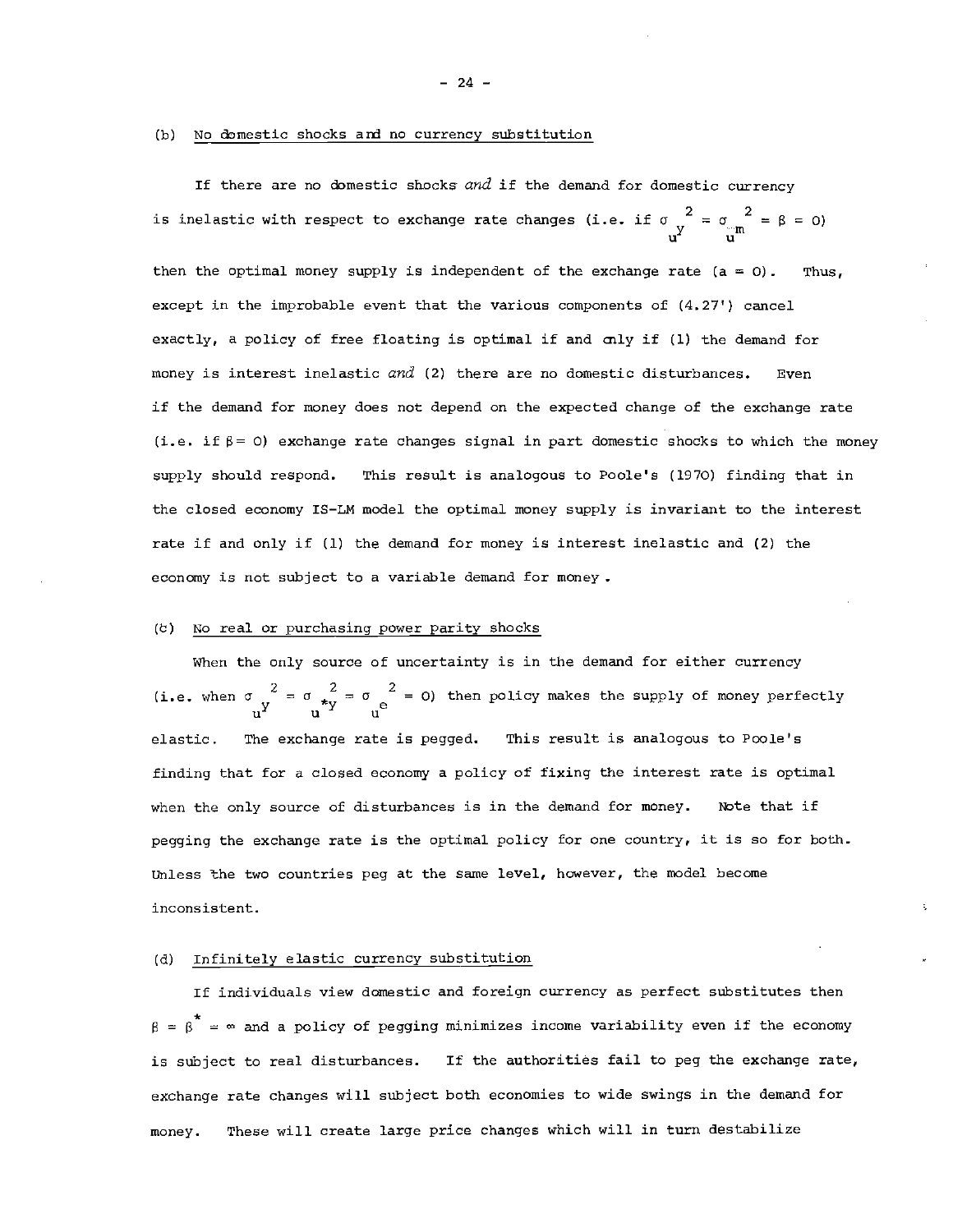#### (b) No domestic shocks ard no currency substitution

If there are no domestic shocks and if the demand for domestic currency is inelastic with respect to exchange rate changes (i.e. if  $\sigma_{y}^{2} = \sigma_{y}^{2} = \beta = 0$ ) u' urn

then the optimal money supply is independent of the exchange rate  $(a = 0)$ . Thus, except in the improbable event that the various components of (4.27') cancel exactly, a policy of free floating is optimal if and mly if (1) the demand for money is interest inelastic and (2) there are no domestic disturbances. Even if the demand for money does not depend on the expected change of the exchange rate (i.e. if  $\beta = 0$ ) exchange rate changes signal in part domestic shocks to which the money supply should respond. This result is analogous to Poole's (1970) finding that in the closed economy IS—LM model the optimal money supply is invariant to the interest rate if and only if (1) the demand for money is interest inelastic and (2) the economy is not subject to a variable demand for money.

### (b) No real or purchasing power parity shocks

When the only source of uncertainty is in the demand for either currency (i.e. when  $\sigma \frac{2}{v^2} = \sigma \frac{2}{v^2} = \sigma$ ) then policy makes the supply of money perfectly elastic. The exchange rate is pegged. This result is analogous to Poole's finding that for a closed economy a policy of fixing the interest rate is optimal when the only source of disturbances is in the demand for money. Note that if pegging the exchange rate is the optimal policy for one country, it is so for both. Unless the two countries peg at the same level, however, the model become inconsistent.

# (d) Infinitely elastic currency substitution

If individuals view domestic and foreign currency as perfect substitutes then  $\beta = \beta^* = \infty$  and a policy of pegging minimizes income variability even if the economy is subject to real disturbances. If the authorities fail to peg the exchange rate, exchange rate changes will subject both economies to wide swings in the demand for money. These will create large price changes which will in turn destabilize

— 24 —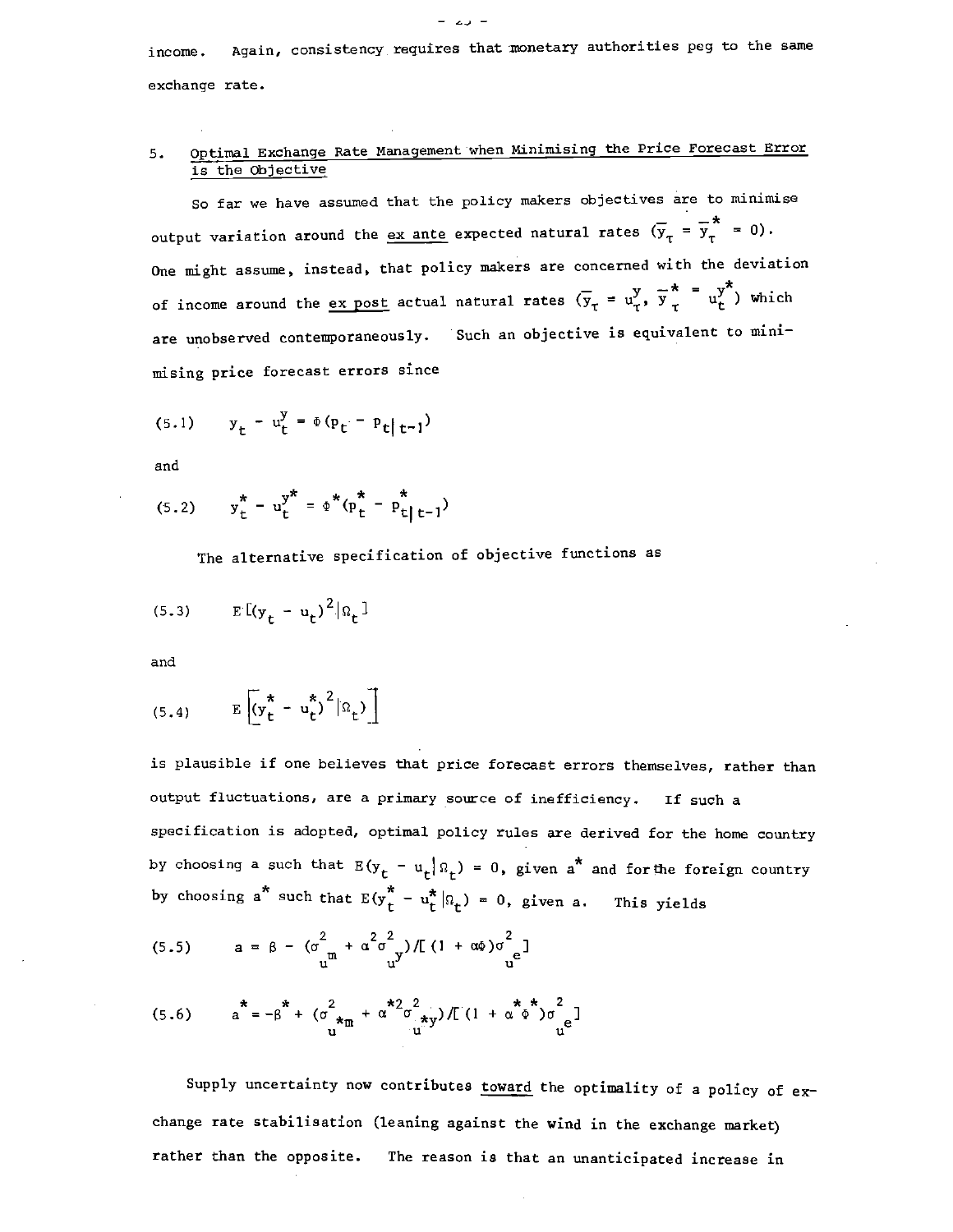income. Again, consistency requires that monetary authorities peg to the same exchange rate.

# 5. Optimal Exchange Rate Management when Minimising the Price Forecast Error is the Objective

So far we have assumed that the policy makers objectives are to minimise output variation around the <u>ex ante</u> expected natural rates  $(\overline{y}_{\tau} = \overline{y}_{\tau}^* = 0)$ . One might assume, instead, that policy makers are concerned with the deviation \* of income around the <u>ex post</u> actual natural rates  $(\overline{y}_{\tau} = u_{\tau}^y, \overline{y}_{\tau}^* = u_{\tau}^y)$  which are unobserved contemporaneously. Such an objective is equivalent to minimising price forecast errors since

$$
(5.1) \t y_t - u_t^y = \Phi(p_t - p_t | t-1)
$$

and

$$
(5.2) \t y_t^* - u_t^{y^*} = \phi^*(p_t^* - p_{t|t-1}^*)
$$

The alternative specification of objective functions as

$$
(5.3) \qquad \mathbb{E}\left[\left(\mathbf{y}_t - \mathbf{u}_t\right)^2 | \mathbf{a}_t\right]
$$

and

$$
(5.4) \qquad \mathbb{E}\left[\left(\mathbf{y}_t^* - \mathbf{u}_t^*\right)^2 | \Omega_t\right]\right]
$$

is plausible if one believes that price forecast errors themselves, rather than output fluctuations, are a primary source of inefficiency. If such a specification is adopted, optimal policy rules are derived for the home country by choosing a such that  $E(y_t - u_t | n_t) = 0$ , given a<sup>\*</sup> and for the foreign country by choosing a<sup>\*</sup> such that  $E(y_t^* - u_t^* | \Omega_t) = 0$ , given a. This yields

(5.5) 
$$
a = \beta - (\sigma_{\mu}^{2} + \alpha^{2} \sigma_{\mu}^{2}) / [(1 + \alpha \phi) \sigma_{\mu}^{2}]
$$

(5.6) 
$$
a^{*} = -\beta^{*} + (\sigma^{2} + \sigma^{*2} \sigma^{2} + \sigma^{*2} \sigma^{2}) / [(1 + \sigma^{*2} \phi^{2}) \sigma^{2} + \sigma^{2} \sigma^{2}]
$$

Supply uncertainty now contributes toward the optimality of a policy of  $ex$ change rate stabilisation (leaning against the wind in the exchange market) rather than the opposite. The reason is that an unanticipated increase in

— <u>—</u> — — — — — —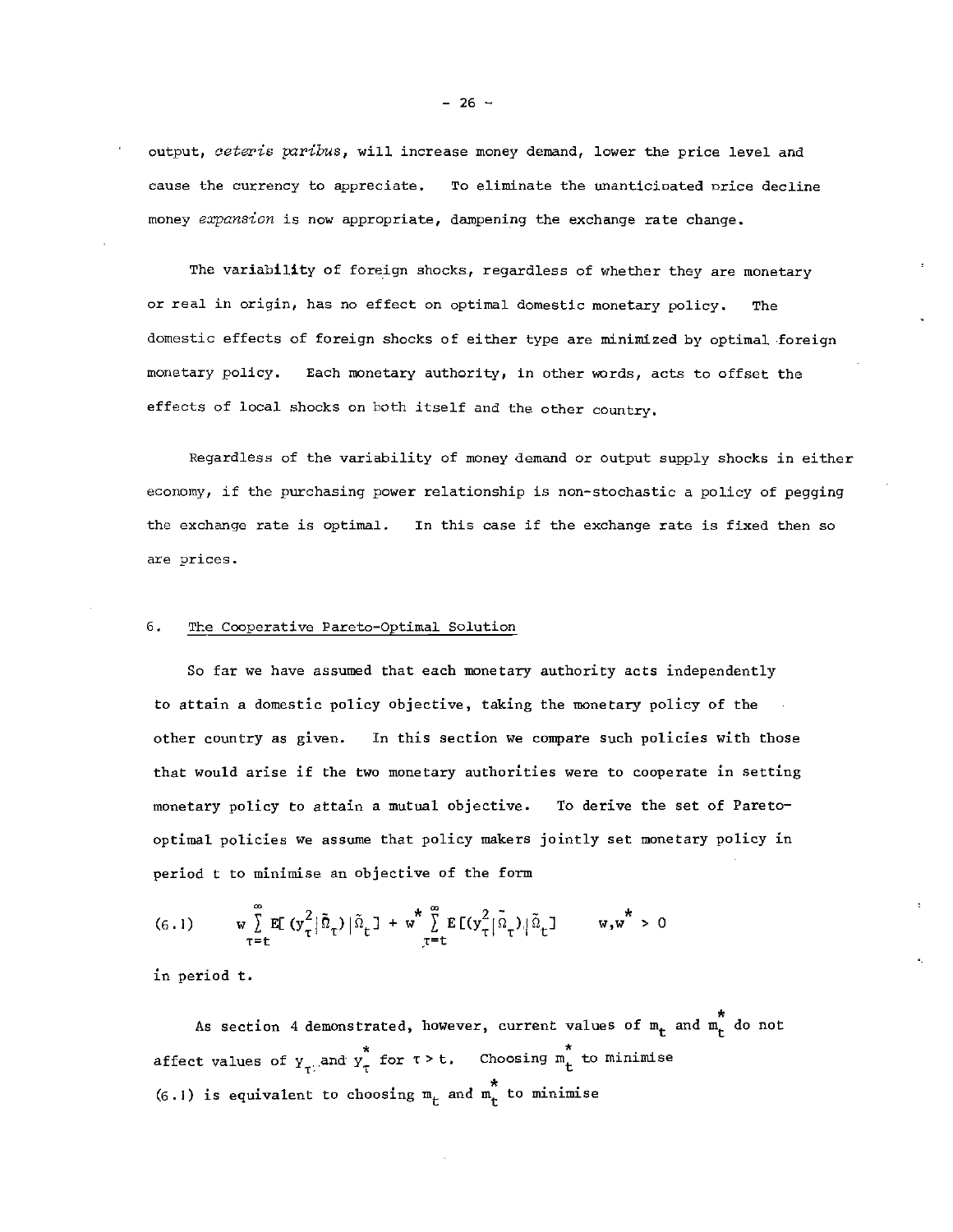output, ceteris paribus, will increase money demand, lower the price level and cause the currency to appreciate. To eliminate the unanticioated nrice decline money expansion is now appropriate, dampening the exchange rate change.

The variability of foreign shocks, regardless of whether they are monetary or real in origin, has no effect on optimal domestic monetary policy. The domestic effects of foreign shocks of either type are minimized by optimal foreign monetary policy. Each monetary authority, in other words, acts to offset the effects of local shocks on both itself and the other country.

Regardless of the variability of money demand or output supply shocks in either economy, if the purchasing power relationship is non—stochastic a policy of pegging the exchange rate is optimal. In this case if the exchange rate is fixed then so are prices.

# 6. The Cooperative Pareto—Optimal Solution

So far we have assumed that each monetary authority acts independently to attain a domestic policy objective, taking the monetary policy of the other country as given. In this section we compare such policies with those that would arise if the two monetary authorities were to cooperate in setting monetary policy to attain a mutual objective. To derive the set of Pareto optimal policies we assume that policy makers jointly set monetary policy in period t to minimise an objective of the form

$$
(6.1) \t w \sum_{\tau=t}^{\infty} E[(y_{\tau}^{2}|\tilde{\Omega}_{\tau})|\tilde{\Omega}_{t}] + w^{\star} \sum_{\tau=t}^{\infty} E[(y_{\tau}^{2}|\tilde{\Omega}_{\tau})|\tilde{\Omega}_{t}] \t w,w^{\star} > 0
$$

in period t.

As section 4 demonstrated, however, current values of  $m_t$  and  $m_t^2$  do not affect values of  $y_{\tau}$  and  $y_{\tau}^*$  for  $\tau > t$ . Choosing  $m_t^*$  to minimise (6.1) is equivalent to choosing  $m_t$  and  $m_t^*$  to minimise

 $-26 -$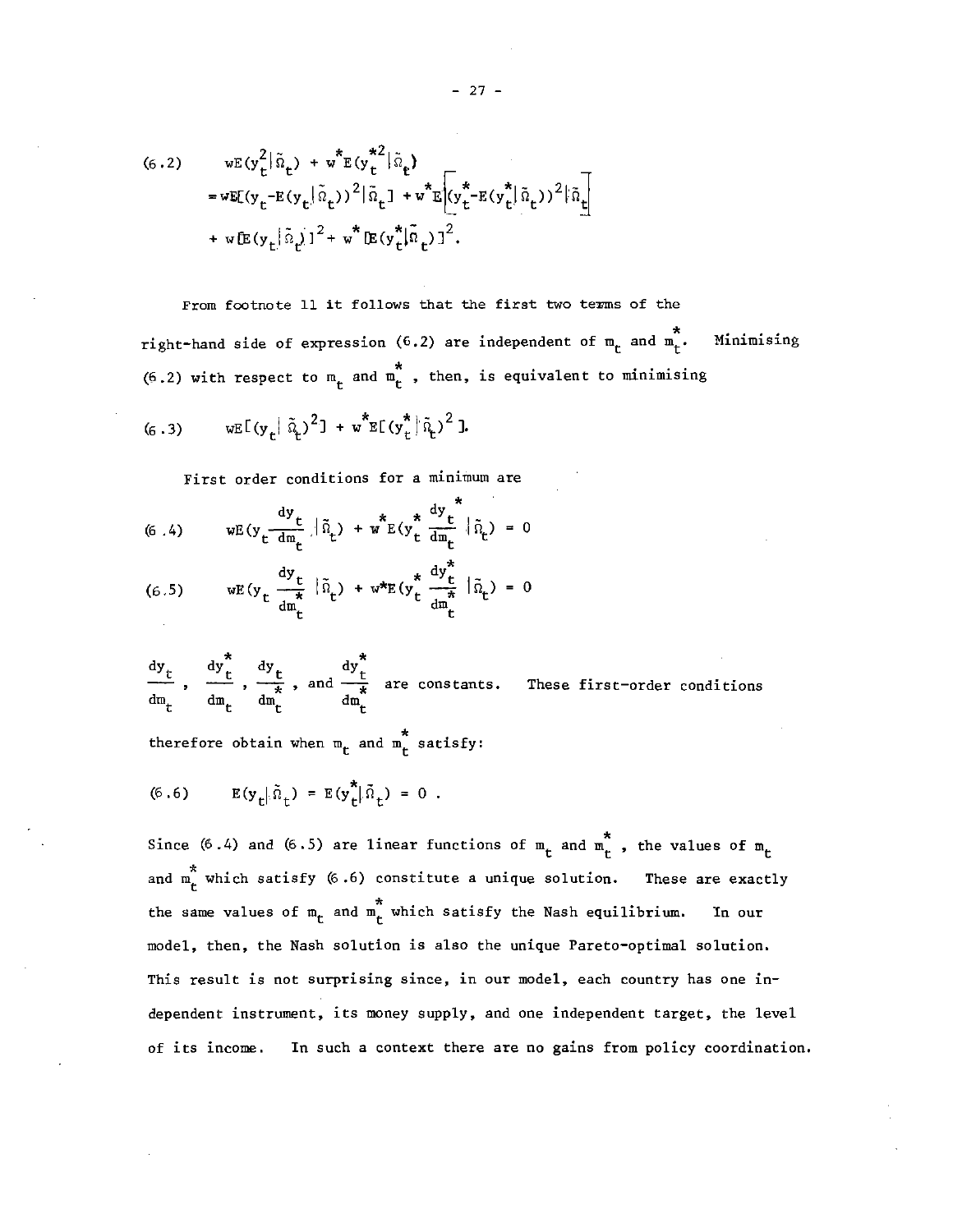(6.2) 
$$
wE(y_t^2 | \tilde{n}_t) + w^*E(y_t^{*2} | \tilde{n}_t)
$$
  
\n
$$
= wE[(y_t - E(y_t | \tilde{n}_t))^2 | \tilde{n}_t] + w^*E[(y_t^{*2} - E(y_t^{*}| \tilde{n}_t))^2 | \tilde{n}_t]
$$
  
\n
$$
+ wE(y_t | \tilde{n}_t)^2 + w^*E(y_t^{*}| \tilde{n}_t)^2.
$$

From footnote 11 it follows that the first two terms of the Minimising right-hand side of expression (6.2) are independent of  $m_t$  and  $m_t^*$ . (6.2) with respect to  $m_t$  and  $m_t^*$ , then, is equivalent to minimising

(6.3) 
$$
wE[(y_t|\tilde{a}_t)^2] + w^*E[(y_t^*|\tilde{a}_t)^2].
$$

First order conditions for a minimum are

(6.4) 
$$
wE(y_t \frac{dy_t}{dm_t} | \tilde{n}_t) + w^* E(y_t^* \frac{dy_t}{dm_t} | \tilde{n}_t) = 0
$$

(6.5) 
$$
wE(y_t \frac{dy_t}{dm_t} | \tilde{n}_t) + w^*E(y_t^* \frac{dy_t^*}{dm_t} | \tilde{n}_t) = 0
$$

 $\frac{dy_t}{dt}$ ,  $\frac{dy_t^*}{dt}$ ,  $\frac{dy_t^*}{dt}$ , and  $\frac{dy_t^*}{dt}$  are constants. These first-order conditions  $\sigma_{\rm m}$  dint dint dint

therefore obtain when  $m_{\mu}$  and  $m_{\mu}^{*}$  satisfy:

(6.6) 
$$
E(y_t|\tilde{n}_t) = E(y_t^*|\tilde{n}_t) = 0
$$
.

Since (6.4) and (6.5) are linear functions of  $m_t$  and  $m_t^*$ , the values of  $m_t$ and m<sub>r</sub> which satisfy (6.6) constitute a unique solution. These are exactly the same values of  $m_{r}$  and  $m_{r}^{*}$  which satisfy the Nash equilibrium. In our model, then, the Nash solution is also the unique Pareto—optimal solution. This result is not surprising since, in our model, each country has one independent instrument, its money supply, and one independent target, the level of its income. In such a context there are no gains from policy coordination.

 $27 -$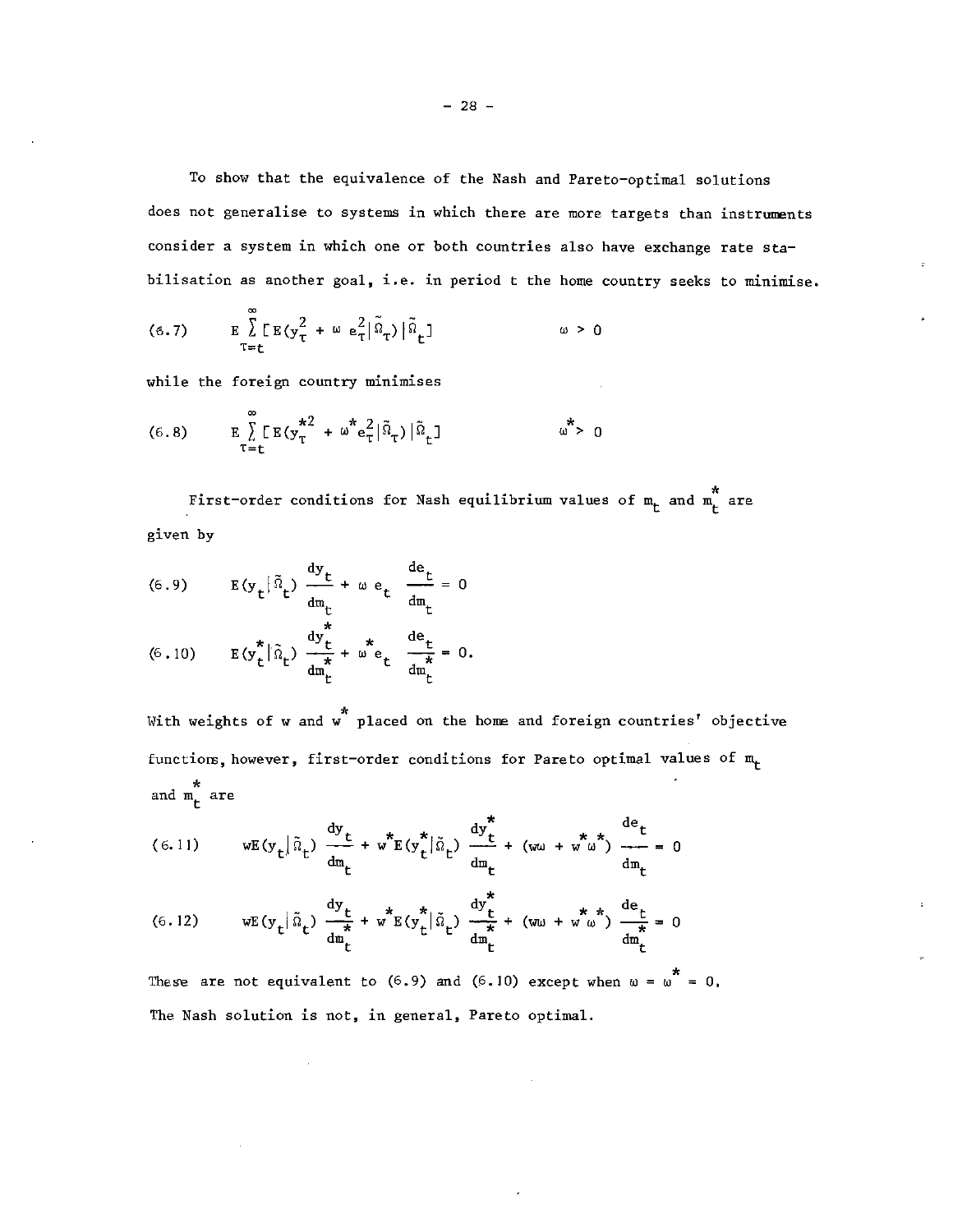To show that the equivalence of the Nash and Pareto—optimal solutions does not generalise to systems in which there are more targets than instruments consider a system in which one or both countries also have exchange rate sta bilisation as another goal, i.e. in period t the home country seeks to minimise.

(6.7) 
$$
E \sum_{\tau=t}^{\infty} [E(y_{\tau}^{2} + \omega e_{\tau}^{2} | \tilde{\Omega}_{\tau}) | \tilde{\Omega}_{t}] \qquad \omega > 0
$$

while the foreign country minimises

(6.8) 
$$
E\int_{\tau=t}^{\infty} [E(y_{\tau}^{*2} + \omega^{*}e_{\tau}^{2}|\tilde{\Omega}_{\tau})|\tilde{\Omega}_{t}] \qquad \omega^{*} > 0
$$

\* First—order conditions for Nash equilibrium values of m and m are given by

(6.9) 
$$
E(y_t|\tilde{n}_t) \frac{dy_t}{dm_t} + \omega e_t \frac{de_t}{dm_t} = 0
$$

(6.10) 
$$
E(y_t^*)\hat{u}_t^* = \frac{dy_t^*}{dy_t^*} + \omega^* e_t^* \frac{de_t}{dy_t^*} = 0.
$$

With weights of w and  $\stackrel{*}{\text{w}}$  placed on the home and foreign countries' objective functions, however, first-order conditions for Pareto optimal values of  $m_t$ and  $\stackrel{*}{\mathbb{m}}_{t}$  are

(6.11) 
$$
wE(y_t|\tilde{n}_t) \frac{dy_t}{dm_t} + w^*E(y_t^*|\tilde{n}_t) \frac{dy_t^*}{dm_t} + (wu + w^*w^*) \frac{de_t}{dm_t} = 0
$$

(6.12) 
$$
wE(y_t|\tilde{\Omega}_t) \frac{dy_t}{d\mathfrak{m}_t} + w^*E(y_t^*|\tilde{\Omega}_t) \frac{dy_t^*}{d\mathfrak{m}_t} + (w\omega + w^* \omega^*) \frac{de_t}{d\mathfrak{m}_t} = 0
$$

These are not equivalent to (6.9) and (6.10) except when  $\omega = \omega^* = 0$ . The Nash solution is not, in general, Pareto optimal.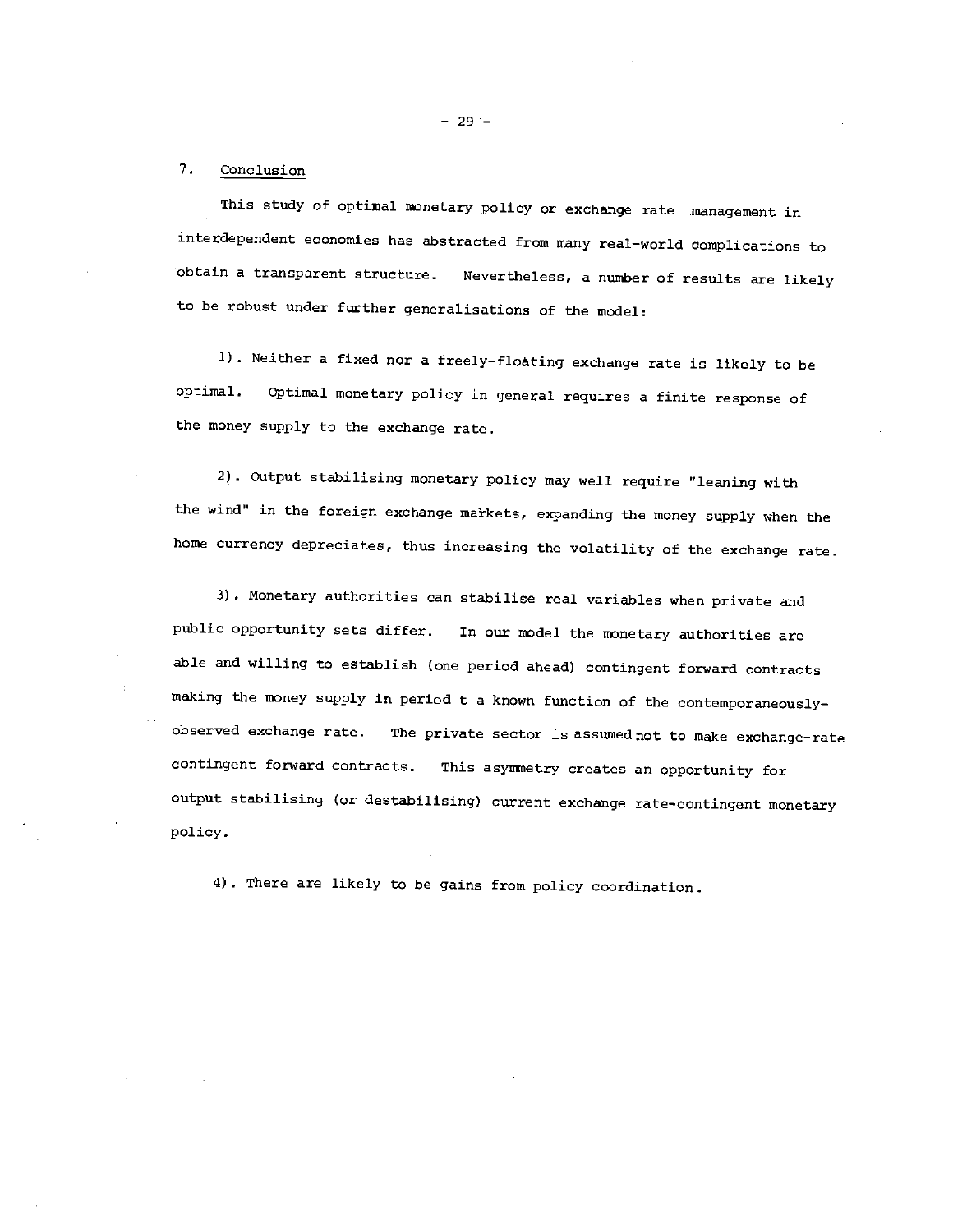# 7. Conclusion

This study of optimal monetary policy or exchange rate management in interdependent economies has abstracted from many real—world complications to obtain a transparent structure. Nevertheless, a number of results are likely to be robust under further generalisations of the model:

1) . Neither a fixed nor a freely—floating exchange rate is likely to be optimal. Optimal monetary policy in general requires a finite response of the money supply to the exchange rate.

2). Output stabilising monetary policy may well require "leaning with the wind" in the foreign exchange markets, expanding the money supply when the home currency depreciates, thus increasing the volatility of the exchange rate.

3) . Monetary authorities can stabilise real variables when private and public opportunity sets differ. In our model the monetary authorities are able and willing to establish (one period ahead) contingent forward contracts making the money supply in period t a known function of the contemporaneously observed exchange rate. The private sector is assumed not to make exchange—rate contingent forward contracts. This asynnetry creates an opportunity for output stabilising (or destabilising) current exchange rate—contingent monetary policy,

4) . There are likely to be gains from policy coordination.

—29—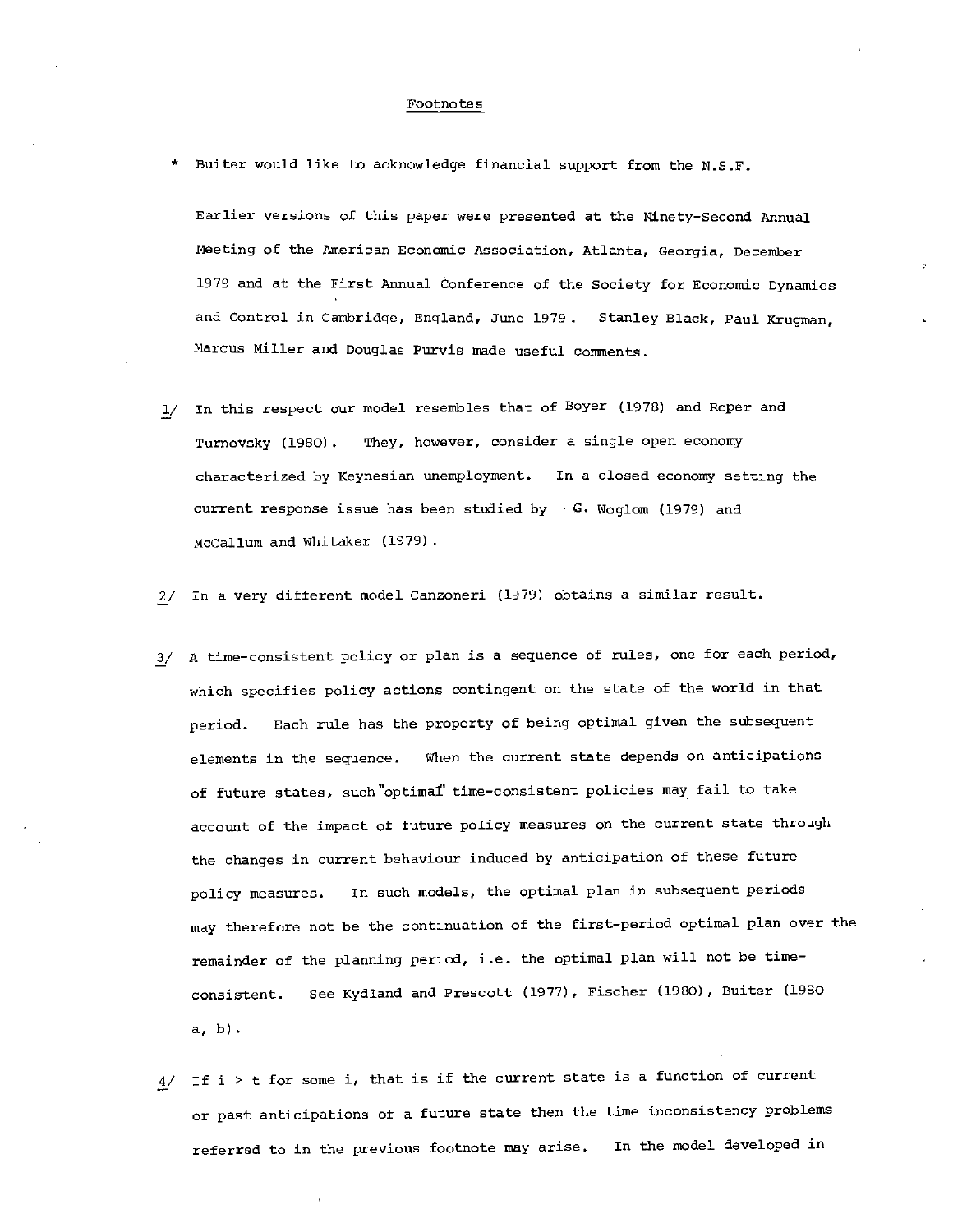### Footnotes

Buiter would like to acknowledge financial support from the N.S.F.

Earlier versions of this paper were presented at the Ninety—Second Annual Meeting of the American Economic Association, Atlanta, Georgia, December 1979 and at the First Annual Conference of the Society for Economic Dynamics and Control in Cambridge, England, June 1979. Stanley Black, Paul Krugman, Marcus Miller and Douglas Purvis made useful comments.

- 1/ In this respect our model resembles that of Boyer (1978) and Roper and Turnovsky (1980). They, however, consider a single open economy characterized by Keynesian unemployment. In a closed economy setting the current response issue has been studied by  $G$ . Woglom (1979) and McCallum and Whitaker (1979)
- 2/ In a very different model Canzoneri (1979) obtains a similar result.
- 3/ A time-consistent policy or plan is a sequence of rules, one for each period, which specifies policy actions contingent on the state of the world in that period. Each rule has the property of being optimal given the subsequent elements in the sequence. When the current state depends on anticipations of future states, such "optimal time-consistent policies may fail to take account of the impact of future policy measures on the current state through the changes in current behaviour induced by anticipation of these future policy measures. In such models, the optimal plan in subsequent periods may therefore not be the continuation of the first—period optimal plan over the remainder of the planning period, i.e. the optimal plan will not be time consistent. See Kydland and Prescott (1977), Fischer (1980), Buiter (1980 a, b).
- $4/$  If i  $>$  t for some i, that is if the current state is a function of current or past anticipations of a future state then the tine inconsistency problems referred to in the previous footnote may arise. In the model developed in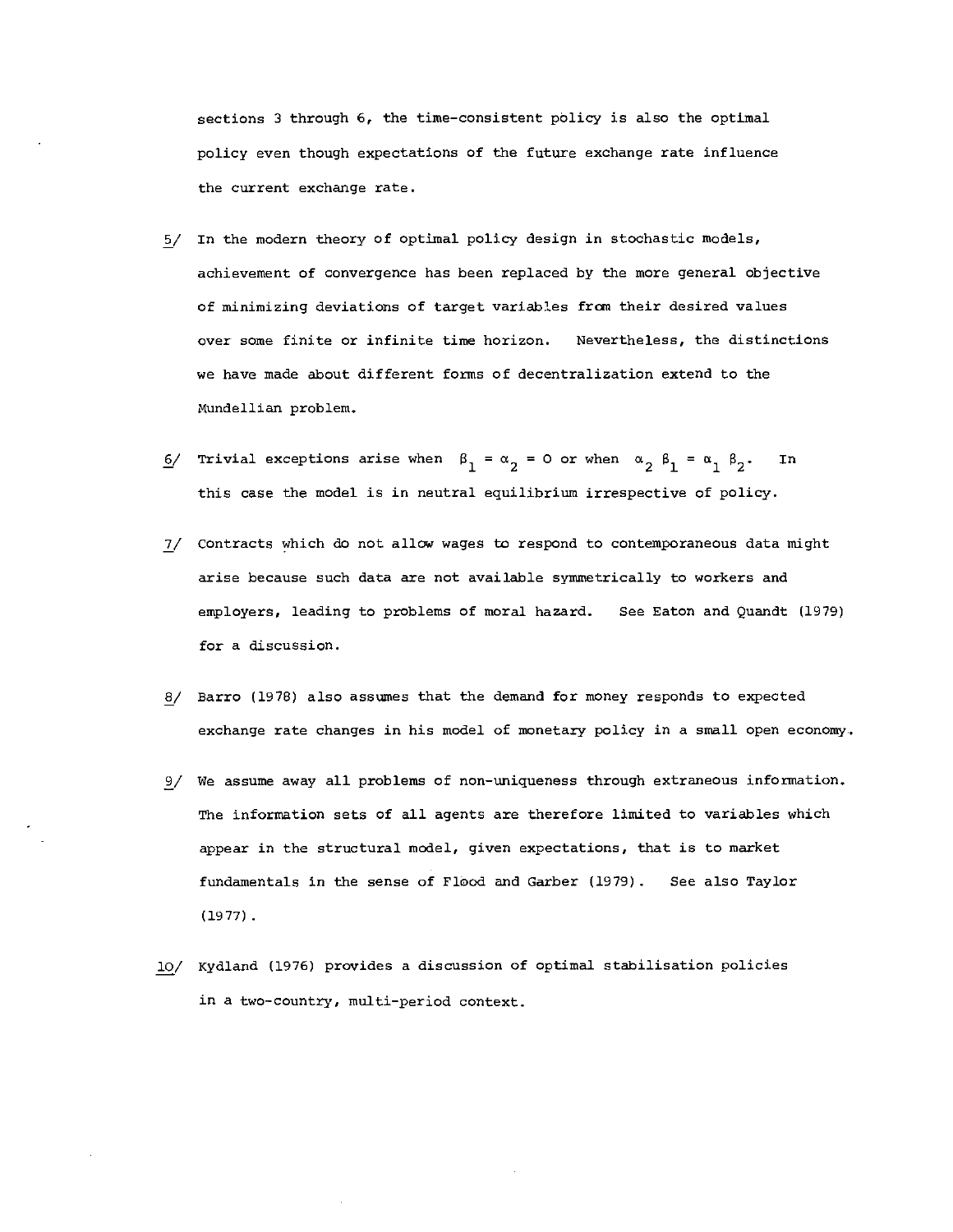sections 3 through 6, the time—consistent policy is also the optimal policy even though expectations of the future exchange rate influence the current exchange rate.

- 5/ In the modern theory of optimal policy design in stochastic models, achievement of convergence has been replaced by the more general objective of minimizing deviations of target variables fran their desired values over some finite or infinite time horizon. Nevertheless, the distinctions we have made about different forms of decentralization extend to the Mundellian problem.
- 6/ Trivial exceptions arise when  $\beta_1 = \alpha_2 = 0$  or when  $\alpha_2$   $\beta_1 = \alpha_1 \beta_2$ . In this case the model is in neutral equilibrium irrespective of policy.
- 7/ contracts which do not allow wages to respond to contemporaneous data might arise because such data are not available symmetrically to workers and employers, leading to problems of moral hazard. See Eaton and Quandt (1979) for a discussion.
- 8/ Barro (1978) also assumes that the demand for money responds to expected exchange rate changes in his model of monetary policy in a small open economy.
- 9/ We assume away all problems of non—uniqueness through extraneous information. The information sets of all agents are therefore limited to variables which appear in the structural model, given expectations, that is to market fundamentals in the sense of FlOod and Garber (1979) . See also Taylor (1977).
- 10/ Kydland (1976) provides a discussion of optimal stabilisation policies in a two-country, multi—period context.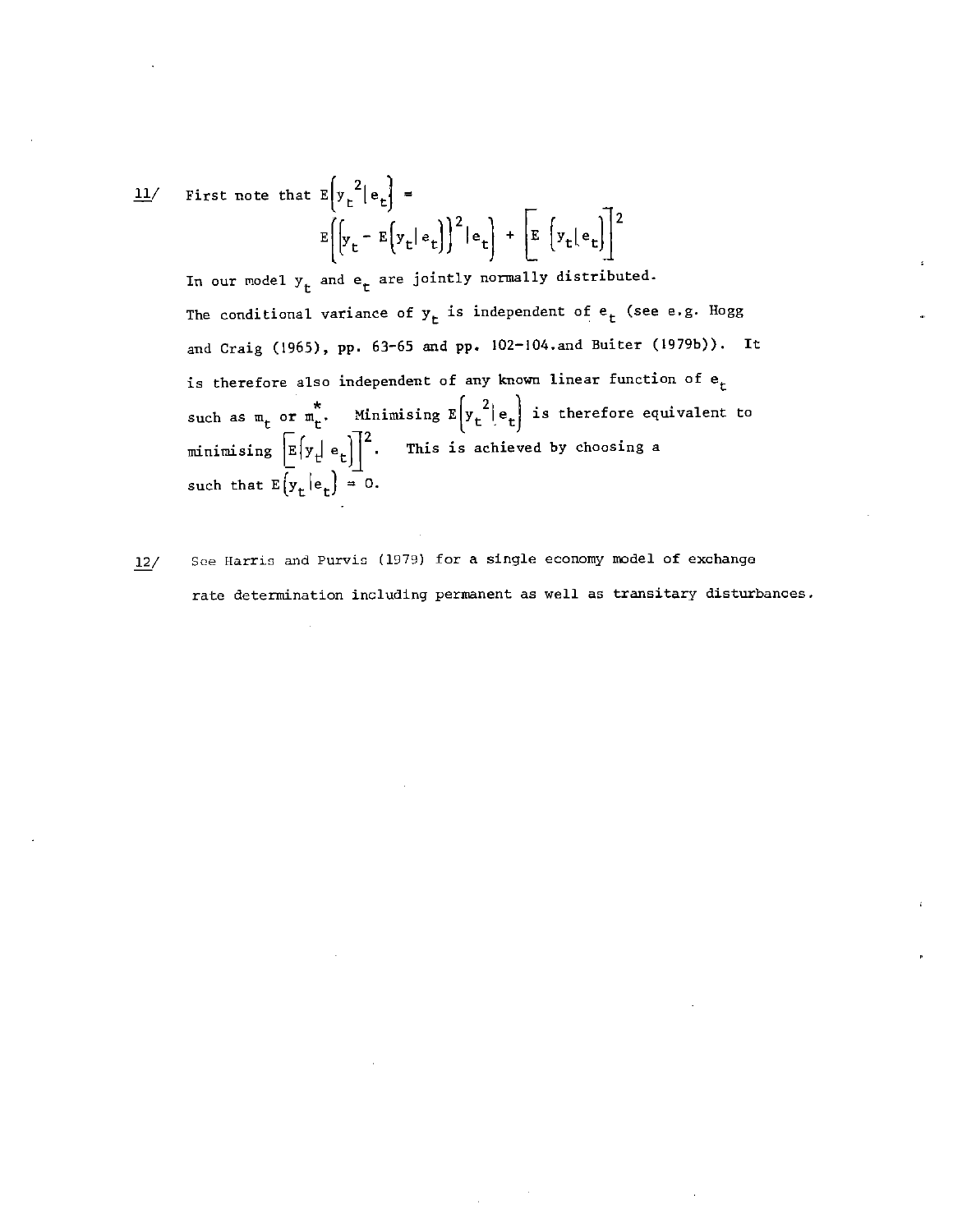$$
\underline{\mathbf{11}} / \quad \text{First note that } E\left(\mathbf{y}_t^2 | \mathbf{e}_t\right) =
$$
\n
$$
E\left[\left(\mathbf{y}_t - E\left(\mathbf{y}_t | \mathbf{e}_t\right)\right)^2 | \mathbf{e}_t\right] + \left[E\left(\mathbf{y}_t | \mathbf{e}_t\right)\right]^2
$$

In our model  $y_t$  and  $e_t$  are jointly normally distributed. The conditional variance of  $y_t$  is independent of  $e_t$  (see e.g. Hogg and Craig (1965), pp. 63—65 and pp. 102—104.and Buiter (197gb)). It is therefore also independent of any known linear function of  $e_t$ and Craig (1965), pp. 63-65 and pp. 102-104.and Buiter (1979b)). It<br>is therefore also independent of any known linear function of  $e_t$ <br>such as  $m_t$  or  $m_t^*$ . Minimising  $E[y_t^2]e_t$  is therefore equivalent to minimising  $\left[\mathbb{E}\left\{\mathbf{y}_t \mid \mathbf{e}_t\right\}\right]^2$ . This is achieved by choosing a such that  $E(y_t | e_t) = 0$ .

12/ See Harris and Purvis (1979) for a single economy model of exchange rate determination including permanent as well as transitary disturbances.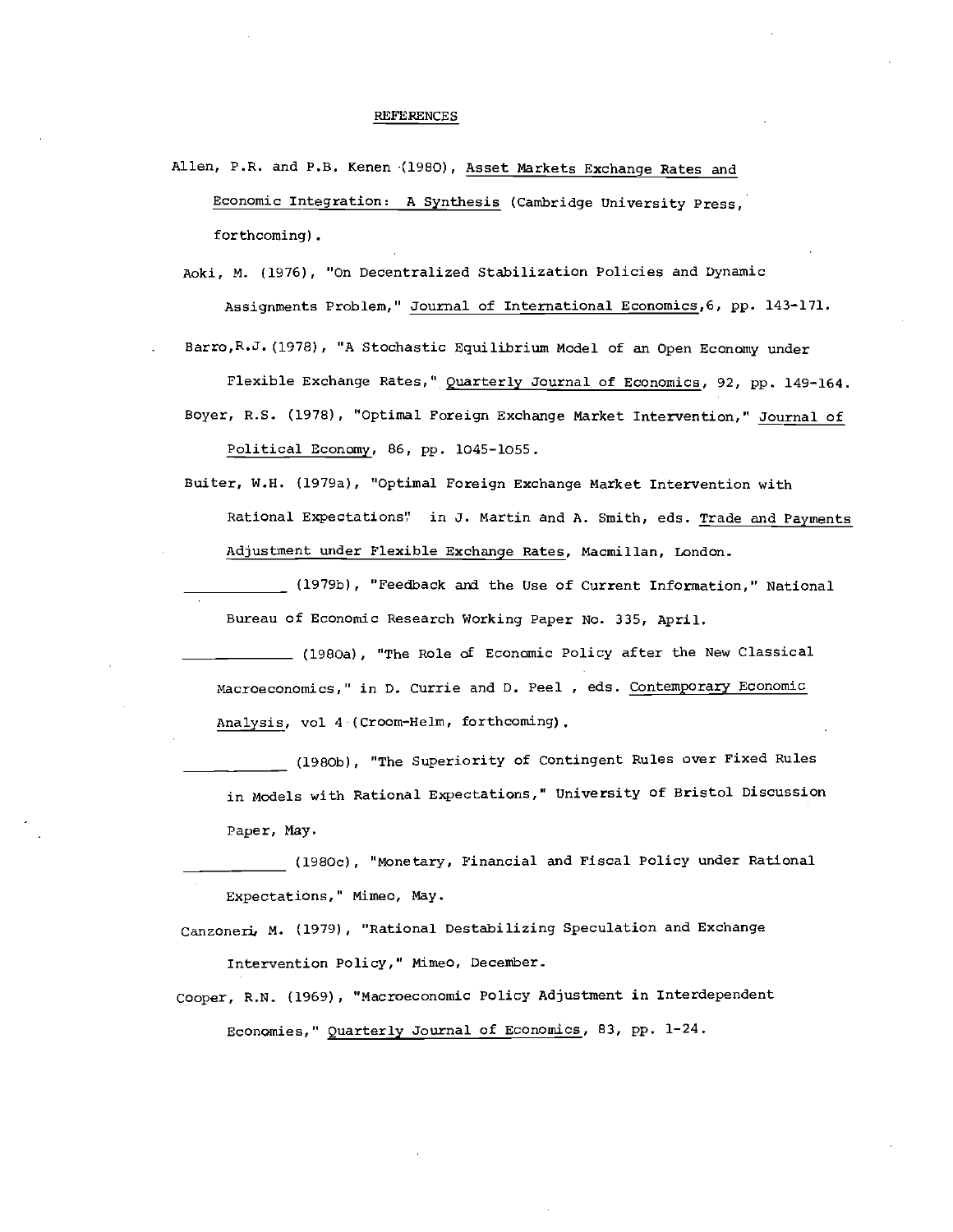#### REFERENCES

- Allen, P.R. and P.S. Kenen (1980), Asset Markets Exchange Rates and Economic Integration: A Synthesis (Cambridge University Press, forthcoming).
	- Aoki, N. (1976), "On Decentralized Stabilization Policies and Dynamic Assignments Problem," Journal of International Economics,6, pp. 143—171.

Barro,R.J. (1978), "A Stochastic Equilibrium Model of an Open Economy under

Flexible Exchange Rates," Quarterly Journal of Economics, 92, pp. 149—164. Boyer, R.S. (1978), "Optimal Foreign Exchange Market Intervention," Journal of

Political Economy, 86, pp. 1045-lOSS.

Buiter, N.H. (1979a), "Optimal Foreign Exchange Market Intervention with Rational Expectations" in J. Martin and A. Smith, eds. Trade and Payments Adjustment under Flexible Exchange Rates, Macmillan, London.

\_ (1979b), "Feedback and the Use of Current Information," National Bureau of Economic Research Working Paper No. 335, April.

(1980a), "The Role of Economic Policy after the New Classical Macroeconomics," in D. Currie and D. Peel , eds. Contemporary Economic Analysis, vol 4-(Croom—Helm, forthcoming).

(1980b), "The Superiority of Contingent Rules over Fixed Rules in Models with Rational Expectations," University of Bristol Discussion Paper, May.

(198Oc), "Monetary, Financial and Fiscal Policy under Rational Expectations," Mimeo, May.

Canzoneri, M. (1979), "Rational Destabilizing Speculation and Exchange Intervention Policy," Mimeo, December.

Cooper, R.N. (1969), "Macroeconomic Policy Adjustment in Interdependent Economies," Quarterly Journal of Economics, 83, pp. 1—24.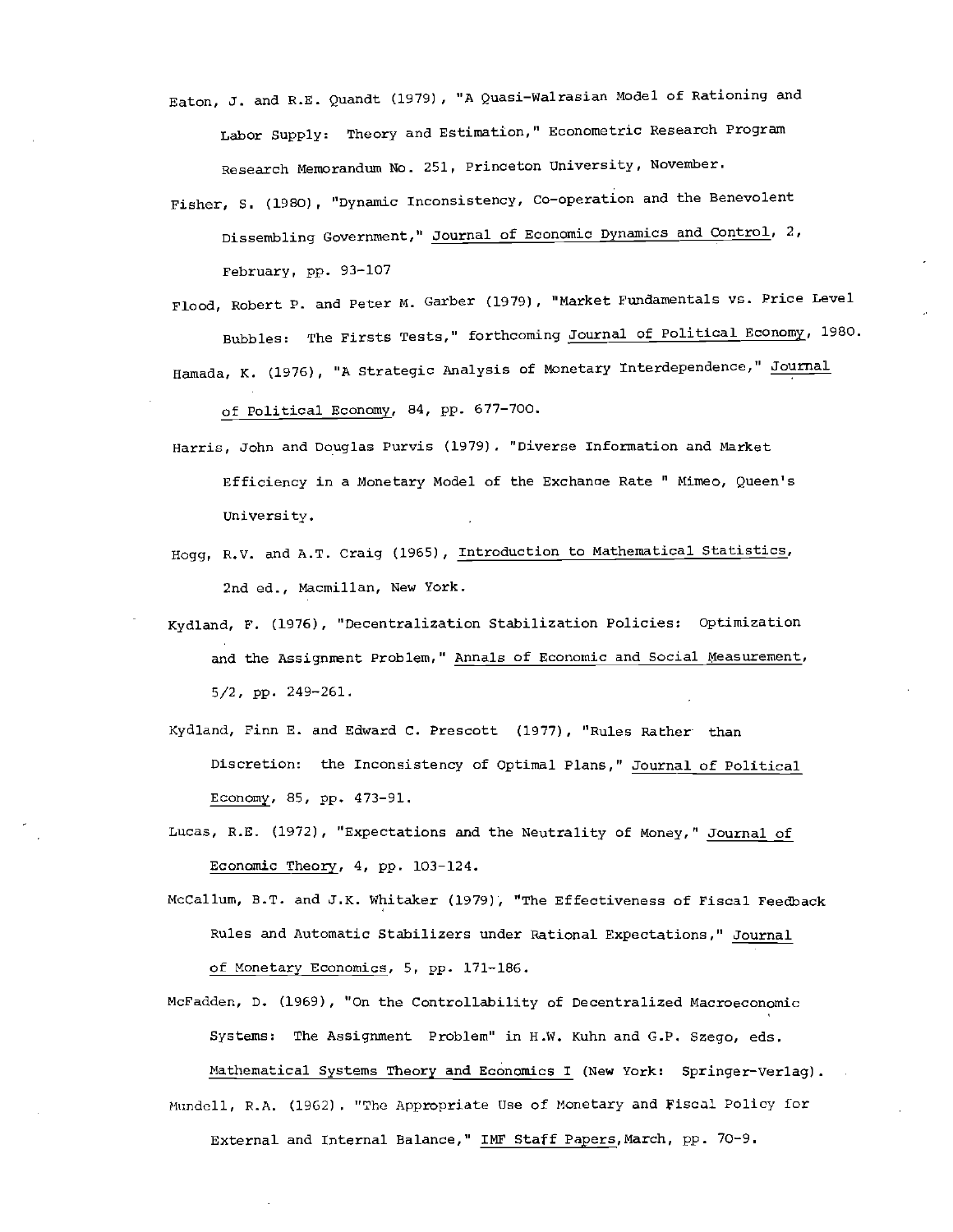- Eaton, 3. and R.E. Quandt (1979), "A Quasi—Wairasian Model of Rationing and Labor Supply: Theory and Estimation," Econometric Research Program Research Memorandum No. 251, Princeton university, November.
- Fisher, S. (1980), "Dynamic Inconsistency, Co—operation and the Benevolent Dissembling Government,' Journal of Economic Dynamics and Control, 2, February, pp. 93-107
- Flood, Robert P. and Peter M. Garber (1979), "Market Fundamentals vs. Price Level Bubbles: The Firsts Tests," forthcoming Journal of Political Economy, 1980. Hamada, K. (1976), "A Strategic Analysis of Monetary Interdependence," Journal

of Political Economy, 84, pp. 677—700.

- Harris, John and Douglas Purvis (1979) . "Diverse Information and Market Efficiency in a Monetary Model of the Exchanoe Rate " Mimeo, Queen's University.
- Hogg, R.V. and A.T. Craig (1965), Introduction to Mathematical Statistics, 2nd ed., Macmillan, New York.
- Kydland, F. (1976), "Decentralization Stabilization Policies: optimization and the Assignment Problem," Annals of Economic and Social Measurement, 5/2, pp. 249—261.
- Kydland, Finn E. and Edward C. Prescott (1977), "Rules Rather than Discretion: the Inconsistency of Optimal Plans," Journal of Political Economy, 85, pp. 473—91.
- Lucas, R.E. (1972), "Expectations and the Neutrality of Money," Journal of Economic Theory, 4, pp. 103—124.
- MoCallum, B.T. and J.K. Whitaker (1979), "The Effectiveness of Fiscal Feedback Rules and Automatic Stabilizers under Rational Expectations," Journal of Monetary Economics, 5, pp. 171-186.
- McFadden, D. (1969), "On the Controllability of Decentralized Macroeconomic Systems: The Assignment Problem" in H.W. Kuhn and G.P, Szego, eds. Mathematical Systems Theory and Economics I (New York: Springer-Verlag). Mundell, R.A. (1962). "The Appropriate Use of Monetary and Fiscal Policy for External and Internal Balance," INF Staff Papers,March, pp. 70—9.